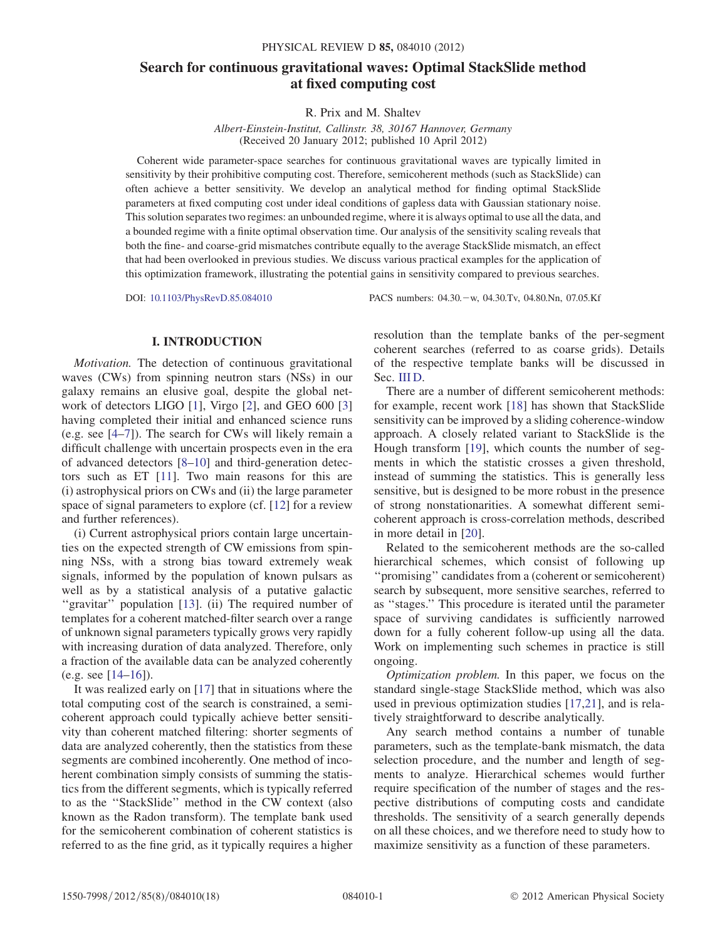# Search for continuous gravitational waves: Optimal StackSlide method at fixed computing cost

R. Prix and M. Shaltev

Albert-Einstein-Institut, Callinstr. 38, 30167 Hannover, Germany (Received 20 January 2012; published 10 April 2012)

Coherent wide parameter-space searches for continuous gravitational waves are typically limited in sensitivity by their prohibitive computing cost. Therefore, semicoherent methods (such as StackSlide) can often achieve a better sensitivity. We develop an analytical method for finding optimal StackSlide parameters at fixed computing cost under ideal conditions of gapless data with Gaussian stationary noise. This solution separates two regimes: an unbounded regime, where it is always optimal to use all the data, and a bounded regime with a finite optimal observation time. Our analysis of the sensitivity scaling reveals that both the fine- and coarse-grid mismatches contribute equally to the average StackSlide mismatch, an effect that had been overlooked in previous studies. We discuss various practical examples for the application of this optimization framework, illustrating the potential gains in sensitivity compared to previous searches.

DOI: [10.1103/PhysRevD.85.084010](http://dx.doi.org/10.1103/PhysRevD.85.084010) PACS numbers: 04.30. w, 04.30.Tv, 04.80.Nn, 07.05.Kf

# I. INTRODUCTION

Motivation. The detection of continuous gravitational waves (CWs) from spinning neutron stars (NSs) in our galaxy remains an elusive goal, despite the global network of detectors LIGO [\[1](#page-17-0)], Virgo [[2\]](#page-17-1), and GEO 600 [\[3\]](#page-17-2) having completed their initial and enhanced science runs (e.g. see [\[4](#page-17-3)–[7\]](#page-17-4)). The search for CWs will likely remain a difficult challenge with uncertain prospects even in the era of advanced detectors [[8](#page-17-5)[–10\]](#page-17-6) and third-generation detectors such as ET [[11](#page-17-7)]. Two main reasons for this are (i) astrophysical priors on CWs and (ii) the large parameter space of signal parameters to explore (cf. [\[12\]](#page-17-8) for a review and further references).

(i) Current astrophysical priors contain large uncertainties on the expected strength of CW emissions from spinning NSs, with a strong bias toward extremely weak signals, informed by the population of known pulsars as well as by a statistical analysis of a putative galactic "gravitar" population [[13](#page-17-9)]. (ii) The required number of templates for a coherent matched-filter search over a range of unknown signal parameters typically grows very rapidly with increasing duration of data analyzed. Therefore, only a fraction of the available data can be analyzed coherently (e.g. see  $[14–16]$  $[14–16]$  $[14–16]$ ).

It was realized early on [[17](#page-17-12)] that in situations where the total computing cost of the search is constrained, a semicoherent approach could typically achieve better sensitivity than coherent matched filtering: shorter segments of data are analyzed coherently, then the statistics from these segments are combined incoherently. One method of incoherent combination simply consists of summing the statistics from the different segments, which is typically referred to as the ''StackSlide'' method in the CW context (also known as the Radon transform). The template bank used for the semicoherent combination of coherent statistics is referred to as the fine grid, as it typically requires a higher

resolution than the template banks of the per-segment coherent searches (referred to as coarse grids). Details of the respective template banks will be discussed in Sec. [III D](#page-7-0).

There are a number of different semicoherent methods: for example, recent work [\[18\]](#page-17-13) has shown that StackSlide sensitivity can be improved by a sliding coherence-window approach. A closely related variant to StackSlide is the Hough transform [[19](#page-17-14)], which counts the number of segments in which the statistic crosses a given threshold, instead of summing the statistics. This is generally less sensitive, but is designed to be more robust in the presence of strong nonstationarities. A somewhat different semicoherent approach is cross-correlation methods, described in more detail in [[20](#page-17-15)].

Related to the semicoherent methods are the so-called hierarchical schemes, which consist of following up ''promising'' candidates from a (coherent or semicoherent) search by subsequent, more sensitive searches, referred to as ''stages.'' This procedure is iterated until the parameter space of surviving candidates is sufficiently narrowed down for a fully coherent follow-up using all the data. Work on implementing such schemes in practice is still ongoing.

Optimization problem. In this paper, we focus on the standard single-stage StackSlide method, which was also used in previous optimization studies [[17](#page-17-12),[21](#page-17-16)], and is relatively straightforward to describe analytically.

Any search method contains a number of tunable parameters, such as the template-bank mismatch, the data selection procedure, and the number and length of segments to analyze. Hierarchical schemes would further require specification of the number of stages and the respective distributions of computing costs and candidate thresholds. The sensitivity of a search generally depends on all these choices, and we therefore need to study how to maximize sensitivity as a function of these parameters.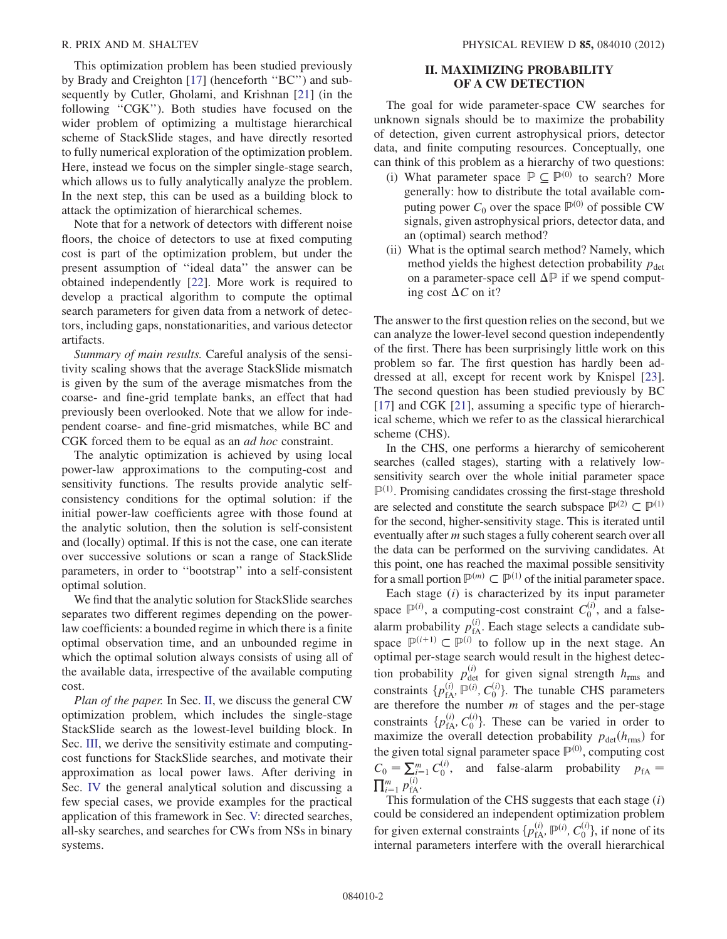This optimization problem has been studied previously by Brady and Creighton [\[17\]](#page-17-12) (henceforth ''BC'') and subsequently by Cutler, Gholami, and Krishnan [[21](#page-17-16)] (in the following ''CGK''). Both studies have focused on the wider problem of optimizing a multistage hierarchical scheme of StackSlide stages, and have directly resorted to fully numerical exploration of the optimization problem. Here, instead we focus on the simpler single-stage search, which allows us to fully analytically analyze the problem. In the next step, this can be used as a building block to attack the optimization of hierarchical schemes.

Note that for a network of detectors with different noise floors, the choice of detectors to use at fixed computing cost is part of the optimization problem, but under the present assumption of ''ideal data'' the answer can be obtained independently [\[22\]](#page-17-17). More work is required to develop a practical algorithm to compute the optimal search parameters for given data from a network of detectors, including gaps, nonstationarities, and various detector artifacts.

Summary of main results. Careful analysis of the sensitivity scaling shows that the average StackSlide mismatch is given by the sum of the average mismatches from the coarse- and fine-grid template banks, an effect that had previously been overlooked. Note that we allow for independent coarse- and fine-grid mismatches, while BC and CGK forced them to be equal as an ad hoc constraint.

The analytic optimization is achieved by using local power-law approximations to the computing-cost and sensitivity functions. The results provide analytic selfconsistency conditions for the optimal solution: if the initial power-law coefficients agree with those found at the analytic solution, then the solution is self-consistent and (locally) optimal. If this is not the case, one can iterate over successive solutions or scan a range of StackSlide parameters, in order to ''bootstrap'' into a self-consistent optimal solution.

We find that the analytic solution for StackSlide searches separates two different regimes depending on the powerlaw coefficients: a bounded regime in which there is a finite optimal observation time, and an unbounded regime in which the optimal solution always consists of using all of the available data, irrespective of the available computing cost.

Plan of the paper. In Sec. [II,](#page-1-0) we discuss the general CW optimization problem, which includes the single-stage StackSlide search as the lowest-level building block. In Sec. [III,](#page-2-0) we derive the sensitivity estimate and computingcost functions for StackSlide searches, and motivate their approximation as local power laws. After deriving in Sec. [IV](#page-9-0) the general analytical solution and discussing a few special cases, we provide examples for the practical application of this framework in Sec. [V:](#page-12-0) directed searches, all-sky searches, and searches for CWs from NSs in binary systems.

# II. MAXIMIZING PROBABILITY OF A CW DETECTION

<span id="page-1-0"></span>The goal for wide parameter-space CW searches for unknown signals should be to maximize the probability of detection, given current astrophysical priors, detector data, and finite computing resources. Conceptually, one can think of this problem as a hierarchy of two questions:

- (i) What parameter space  $\mathbb{P} \subseteq \mathbb{P}^{(0)}$  to search? More generally: how to distribute the total available comgenerally: how to distribute the total available computing power  $C_0$  over the space  $\mathbb{P}^{(0)}$  of possible CW signals, given astrophysical priors, detector data, and an (optimal) search method?
- (ii) What is the optimal search method? Namely, which method yields the highest detection probability  $p_{\text{det}}$ on a parameter-space cell  $\Delta P$  if we spend computing cost  $\Delta C$  on it?

The answer to the first question relies on the second, but we can analyze the lower-level second question independently of the first. There has been surprisingly little work on this problem so far. The first question has hardly been addressed at all, except for recent work by Knispel [\[23\]](#page-17-18). The second question has been studied previously by BC [\[17\]](#page-17-12) and CGK [[21](#page-17-16)], assuming a specific type of hierarchical scheme, which we refer to as the classical hierarchical scheme (CHS).

In the CHS, one performs a hierarchy of semicoherent searches (called stages), starting with a relatively lowsensitivity search over the whole initial parameter space  $\mathbb{P}^{(1)}$ . Promising candidates crossing the first-stage threshold are selected and constitute the search subspace  $\mathbb{P}^{(2)} \subset \mathbb{P}^{(1)}$ for the second, higher-sensitivity stage. This is iterated until eventually after m such stages a fully coherent search over all the data can be performed on the surviving candidates. At this point, one has reached the maximal possible sensitivity for a small portion  $\mathbb{P}^{(m)} \subset \mathbb{P}^{(1)}$  of the initial parameter space.

Each stage  $(i)$  is characterized by its input parameter space  $\mathbb{P}^{(i)}$ , a computing-cost constraint  $C_0^{(i)}$ , and a falsealarm probability  $p_{\text{fA}}^{(i)}$ . Each stage selects a candidate subspace  $\mathbb{P}^{(i+1)} \subset \mathbb{P}^{(i)}$  to follow up in the next stage. An optimal per-stage search would result in the highest detection probability  $p_{\text{det}}^{(i)}$  for given signal strength  $h_{\text{rms}}$  and constraints  $\{p_{\text{fA}}^{(i)}, p^{(i)}, C_0^{(i)}\}$ . The tunable CHS parameters are therefore the number m of stages and the per-stage are therefore the number  $m$  of stages and the per-stage constraints  $\{p_{\text{fA}}^{(i)}, C_0^{(i)}\}$ . These can be varied in order to maximize the overall detection probability  $p_{\text{fA}}(h)$  for maximize the overall detection probability  $p_{\text{det}}(h_{\text{rms}})$  for the given total signal parameter space  $\mathbb{P}^{(0)}$ , computing cost  $C_0 = \sum_{i=1}^m C_0^{(i)}$ , and false-alarm probability  $p_{\text{fA}} = \prod_{i=1}^m p_{\text{fA}}^{(i)}$ .  $\frac{m}{i=1} p_{\text{fA}}^{(i)}$ .<br>This fo

This formulation of the CHS suggests that each stage  $(i)$ could be considered an independent optimization problem for given external constraints  $\{p_{\text{fA}}^{(i)}, p_{\text{fB}}^{(i)}, C_0^{(i)}\}$ , if none of its internal parameters interfere with the overall hierarchical internal parameters interfere with the overall hierarchical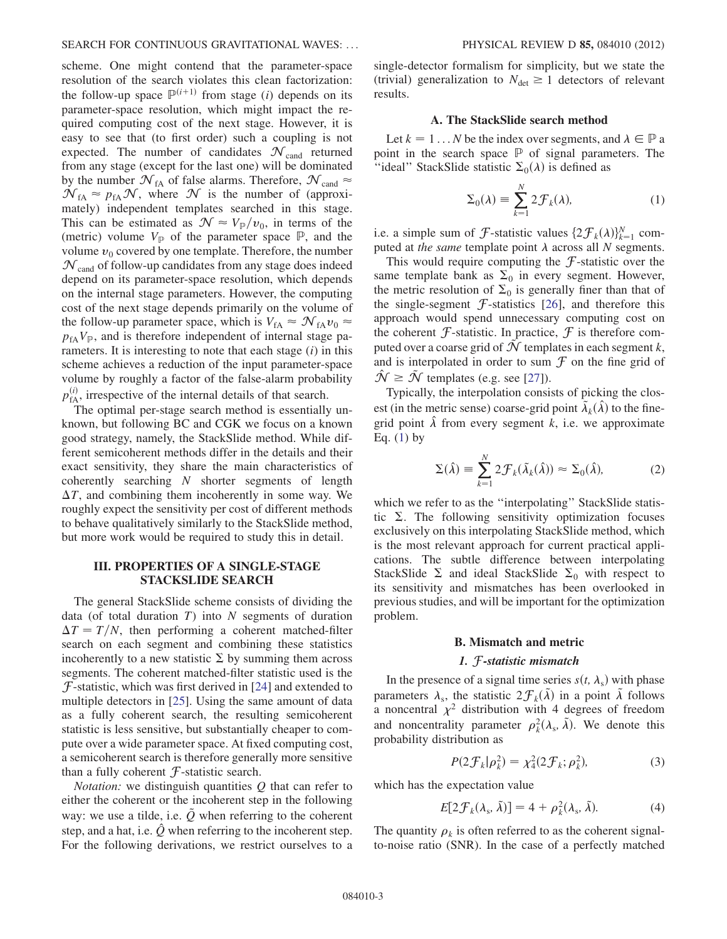scheme. One might contend that the parameter-space resolution of the search violates this clean factorization: the follow-up space  $\mathbb{P}^{(i+1)}$  from stage (i) depends on its parameter-space resolution, which might impact the required computing cost of the next stage. However, it is easy to see that (to first order) such a coupling is not expected. The number of candidates  $\mathcal{N}_{cand}$  returned from any stage (except for the last one) will be dominated by the number  $\mathcal{N}_{fA}$  of false alarms. Therefore,  $\mathcal{N}_{cand} \approx$  $\mathcal{N}_{\text{fA}} \approx p_{\text{fA}} \mathcal{N}$ , where  $\mathcal N$  is the number of (approximately) independent templates searched in this stage. This can be estimated as  $\mathcal{N} \approx V_{\mathbb{P}}/v_0$ , in terms of the (metric) volume  $V_{\mathbb{P}}$  of the parameter space  $\mathbb{P}$ , and the volume  $v_0$  covered by one template. Therefore, the number  $\mathcal{N}_{\text{cand}}$  of follow-up candidates from any stage does indeed depend on its parameter-space resolution, which depends on the internal stage parameters. However, the computing cost of the next stage depends primarily on the volume of the follow-up parameter space, which is  $V_{fA} \approx \mathcal{N}_{fA}v_0 \approx$  $p_{fA}V_{\mathbb{P}}$ , and is therefore independent of internal stage parameters. It is interesting to note that each stage  $(i)$  in this scheme achieves a reduction of the input parameter-space volume by roughly a factor of the false-alarm probability  $p_{\text{fA}}^{(i)}$ , irrespective of the internal details of that search.

The optimal per-stage search method is essentially unknown, but following BC and CGK we focus on a known good strategy, namely, the StackSlide method. While different semicoherent methods differ in the details and their exact sensitivity, they share the main characteristics of coherently searching N shorter segments of length  $\Delta T$ , and combining them incoherently in some way. We roughly expect the sensitivity per cost of different methods to behave qualitatively similarly to the StackSlide method, but more work would be required to study this in detail.

# III. PROPERTIES OF A SINGLE-STAGE STACKSLIDE SEARCH

<span id="page-2-0"></span>The general StackSlide scheme consists of dividing the data (of total duration  $T$ ) into  $N$  segments of duration  $\Delta T = T/N$ , then performing a coherent matched-filter search on each segment and combining these statistics incoherently to a new statistic  $\Sigma$  by summing them across segments. The coherent matched-filter statistic used is the  $\mathcal F$ -statistic, which was first derived in [[24](#page-17-19)] and extended to multiple detectors in [[25\]](#page-17-20). Using the same amount of data as a fully coherent search, the resulting semicoherent statistic is less sensitive, but substantially cheaper to compute over a wide parameter space. At fixed computing cost, a semicoherent search is therefore generally more sensitive than a fully coherent  $\mathcal F$ -statistic search.

*Notation:* we distinguish quantities  $Q$  that can refer to either the coherent or the incoherent step in the following way: we use a tilde, i.e.  $Q$  when referring to the coherent step, and a hat, i.e.  $\hat{Q}$  when referring to the incoherent step. For the following derivations, we restrict ourselves to a single-detector formalism for simplicity, but we state the (trivial) generalization to  $N_{\text{det}} \geq 1$  detectors of relevant results.

#### A. The StackSlide search method

<span id="page-2-1"></span>Let  $k = 1...N$  be the index over segments, and  $\lambda \in \mathbb{P}$  a point in the search space  $\mathbb P$  of signal parameters. The "ideal" StackSlide statistic  $\Sigma_0(\lambda)$  is defined as

$$
\Sigma_0(\lambda) \equiv \sum_{k=1}^N 2\mathcal{F}_k(\lambda),\tag{1}
$$

i.e. a simple sum of *F*-statistic values  $\{2\mathcal{F}_k(\lambda)\}_{k=1}^N$  com-<br>puted at the same template point  $\lambda$  across all N segments puted at the same template point  $\lambda$  across all  $N$  segments.

This would require computing the  $\mathcal F$ -statistic over the same template bank as  $\Sigma_0$  in every segment. However, the metric resolution of  $\Sigma_0$  is generally finer than that of the single-segment  $\mathcal F$ -statistics [[26](#page-17-21)], and therefore this approach would spend unnecessary computing cost on the coherent  $\mathcal F$ -statistic. In practice,  $\mathcal F$  is therefore computed over a coarse grid of  $\mathcal N$  templates in each segment k, and is interpolated in order to sum  $\mathcal F$  on the fine grid of  $\hat{\mathcal{N}} \geq \tilde{\mathcal{N}}$  templates (e.g. see [[27](#page-17-22)]).

<span id="page-2-2"></span>Typically, the interpolation consists of picking the closest (in the metric sense) coarse-grid point  $\lambda_k(\lambda)$  to the finegrid point  $\hat{\lambda}$  from every segment k, i.e. we approximate Eq.  $(1)$  $(1)$  by

$$
\Sigma(\hat{\lambda}) = \sum_{k=1}^{N} 2\mathcal{F}_k(\tilde{\lambda}_k(\hat{\lambda})) \approx \Sigma_0(\hat{\lambda}),
$$
 (2)

which we refer to as the "interpolating" StackSlide statistic  $\Sigma$ . The following sensitivity optimization focuses exclusively on this interpolating StackSlide method, which is the most relevant approach for current practical applications. The subtle difference between interpolating StackSlide  $\Sigma$  and ideal StackSlide  $\Sigma_0$  with respect to its sensitivity and mismatches has been overlooked in previous studies, and will be important for the optimization problem.

#### B. Mismatch and metric

# 1. F -statistic mismatch

In the presence of a signal time series  $s(t, \lambda_s)$  with phase parameters  $\lambda_s$ , the statistic  $2\mathcal{F}_k(\tilde{\lambda})$  in a point  $\tilde{\lambda}$  follows a noncentral  $\chi^2$  distribution with 4 degrees of freedom and noncentrality parameter  $\rho_k^2(\lambda_s, \tilde{\lambda})$ . We denote this probability distribution as

$$
P(2\mathcal{F}_k|\rho_k^2) = \chi_4^2(2\mathcal{F}_k; \rho_k^2),\tag{3}
$$

which has the expectation value

$$
E[2\mathcal{F}_k(\lambda_{\rm s},\tilde{\lambda})] = 4 + \rho_k^2(\lambda_{\rm s},\tilde{\lambda}).
$$
 (4)

The quantity  $\rho_k$  is often referred to as the coherent signalto-noise ratio (SNR). In the case of a perfectly matched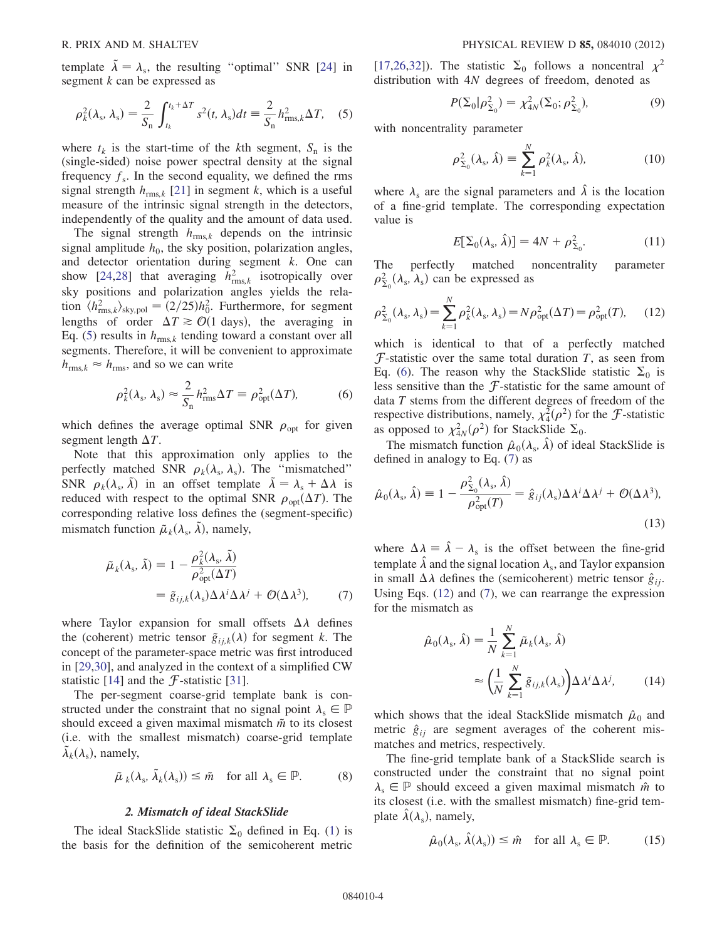<span id="page-3-0"></span>template  $\tilde{\lambda} = \lambda_s$ , the resulting "optimal" SNR [[24](#page-17-19)] in segment k can be expressed as

$$
\rho_k^2(\lambda_s, \lambda_s) = \frac{2}{S_n} \int_{t_k}^{t_k + \Delta T} s^2(t, \lambda_s) dt = \frac{2}{S_n} h_{\text{rms},k}^2 \Delta T, \quad (5)
$$

where  $t_k$  is the start-time of the kth segment,  $S_n$  is the (single-sided) noise power spectral density at the signal frequency  $f_s$ . In the second equality, we defined the rms signal strength  $h_{\text{rms},k}$  [[21](#page-17-16)] in segment k, which is a useful measure of the intrinsic signal strength in the detectors, independently of the quality and the amount of data used.

The signal strength  $h_{\text{rms},k}$  depends on the intrinsic signal amplitude  $h_0$ , the sky position, polarization angles, and detector orientation during segment  $k$ . One can show [\[24](#page-17-19)[,28\]](#page-17-23) that averaging  $h_{\text{rms},k}^2$  isotropically over sky positions and polarization angles yields the relation  $\langle h_{\text{rms},k}^2 \rangle_{\text{sky,pol}} = (2/25)h_0^2$ . Furthermore, for segment lengths of order  $\Delta T \gtrsim \mathcal{O}(1 \text{ days})$ , the averaging in Eq. ([5](#page-3-0)) results in  $h_{\text{rms},k}$  tending toward a constant over all segments. Therefore, it will be convenient to approximate  $h_{\text{rms},k} \approx h_{\text{rms}}$ , and so we can write

$$
\rho_k^2(\lambda_s, \lambda_s) \approx \frac{2}{S_n} h_{\text{rms}}^2 \Delta T \equiv \rho_{\text{opt}}^2(\Delta T), \tag{6}
$$

<span id="page-3-1"></span>which defines the average optimal SNR  $\rho_{opt}$  for given segment length  $\Delta T$ .

Note that this approximation only applies to the perfectly matched SNR  $\rho_k(\lambda_s, \lambda_s)$ . The "mismatched" SNR  $\rho_k(\lambda_s, \lambda)$  in an offset template  $\lambda = \lambda_s + \Delta \lambda$  is reduced with respect to the optimal SNR  $\rho_{opt}(\Delta T)$ . The corresponding relative loss defines the (segment-specific) mismatch function  $\tilde{\mu}_{k}(\lambda_{s}, \tilde{\lambda})$ , namely,

<span id="page-3-2"></span>
$$
\tilde{\mu}_{k}(\lambda_{s}, \tilde{\lambda}) \equiv 1 - \frac{\rho_{k}^{2}(\lambda_{s}, \tilde{\lambda})}{\rho_{\text{opt}}^{2}(\Delta T)} \n= \tilde{g}_{ij,k}(\lambda_{s}) \Delta \lambda^{i} \Delta \lambda^{j} + \mathcal{O}(\Delta \lambda^{3}),
$$
\n(7)

where Taylor expansion for small offsets  $\Delta \lambda$  defines the (coherent) metric tensor  $\tilde{g}_{ij,k}(\lambda)$  for segment k. The concept of the parameter-space metric was first introduced in [\[29](#page-17-24)[,30\]](#page-17-25), and analyzed in the context of a simplified CW statistic [[14](#page-17-10)] and the  $\mathcal F$ -statistic [\[31\]](#page-17-26).

The per-segment coarse-grid template bank is constructed under the constraint that no signal point  $\lambda_s \in \mathbb{P}$ should exceed a given maximal mismatch  $\tilde{m}$  to its closest (i.e. with the smallest mismatch) coarse-grid template  $\lambda_k(\lambda_s)$ , namely,

<span id="page-3-5"></span>
$$
\tilde{\mu}_{k}(\lambda_{s}, \tilde{\lambda}_{k}(\lambda_{s})) \leq \tilde{m} \quad \text{for all } \lambda_{s} \in \mathbb{P}. \tag{8}
$$

#### 2. Mismatch of ideal StackSlide

The ideal StackSlide statistic  $\Sigma_0$  defined in Eq. [\(1\)](#page-2-1) is the basis for the definition of the semicoherent metric

[\[17](#page-17-12)[,26,](#page-17-21)[32](#page-17-27)]). The statistic  $\Sigma_0$  follows a noncentral  $\chi^2$ distribution with 4N degrees of freedom, denoted as

$$
P(\Sigma_0|\rho_{\Sigma_0}^2) = \chi_{4N}^2(\Sigma_0; \rho_{\Sigma_0}^2),
$$
\n(9)

with noncentrality parameter

$$
\rho_{\Sigma_0}^2(\lambda_s, \hat{\lambda}) \equiv \sum_{k=1}^N \rho_k^2(\lambda_s, \hat{\lambda}), \tag{10}
$$

where  $\lambda_s$  are the signal parameters and  $\lambda$  is the location of a fine-grid template. The corresponding expectation value is

$$
E[\Sigma_0(\lambda_s, \hat{\lambda})] = 4N + \rho_{\Sigma_0}^2.
$$
 (11)

The perfectly matched noncentrality parameter  $\rho_{\Sigma_0}^2(\lambda_s, \lambda_s)$  can be expressed as

<span id="page-3-3"></span>
$$
\rho_{\Sigma_0}^2(\lambda_s, \lambda_s) = \sum_{k=1}^N \rho_k^2(\lambda_s, \lambda_s) = N \rho_{\rm opt}^2(\Delta T) = \rho_{\rm opt}^2(T), \qquad (12)
$$

which is identical to that of a perfectly matched  $\mathcal F$ -statistic over the same total duration  $T$ , as seen from Eq. ([6\)](#page-3-1). The reason why the StackSlide statistic  $\Sigma_0$  is less sensitive than the  $f$ -statistic for the same amount of data T stems from the different degrees of freedom of the respective distributions, namely,  $\chi^2_4(\rho^2)$  for the *F*-statistic as opposed to  $\chi^2(\rho^2)$  for StackSlide  $\Sigma_0$ as opposed to  $\chi^2_{4N}(\rho^2)$  for StackSlide  $\Sigma_0$ .<br>The mismatch function  $\hat{\rho}$  (A)  $\hat{\lambda}$ ) of ide

The mismatch function  $\hat{\mu}_0(\lambda_s, \lambda)$  of ideal StackSlide is defined in analogy to Eq. [\(7](#page-3-2)) as

$$
\hat{\mu}_0(\lambda_s, \hat{\lambda}) \equiv 1 - \frac{\rho_{\Sigma_0}^2(\lambda_s, \hat{\lambda})}{\rho_{\rm opt}^2(T)} = \hat{g}_{ij}(\lambda_s) \Delta \lambda^i \Delta \lambda^j + \mathcal{O}(\Delta \lambda^3),
$$
\n(13)

where  $\Delta \lambda = \hat{\lambda} - \lambda_s$  is the offset between the fine-grid template  $\lambda$  and the signal location  $\lambda_s$ , and Taylor expansion in small  $\Delta \lambda$  defines the (semicoherent) metric tensor  $\hat{g}_{ij}$ . Using Eqs. [\(12\)](#page-3-3) and ([7](#page-3-2)), we can rearrange the expression for the mismatch as

<span id="page-3-4"></span>
$$
\hat{\mu}_0(\lambda_s, \hat{\lambda}) = \frac{1}{N} \sum_{k=1}^N \tilde{\mu}_k(\lambda_s, \hat{\lambda})
$$

$$
\approx \left(\frac{1}{N} \sum_{k=1}^N \tilde{g}_{ij,k}(\lambda_s)\right) \Delta \lambda^i \Delta \lambda^j, \qquad (14)
$$

which shows that the ideal StackSlide mismatch  $\hat{\mu}_0$  and metric  $\hat{g}_{ij}$  are segment averages of the coherent mismatches and metrics, respectively.

<span id="page-3-6"></span>The fine-grid template bank of a StackSlide search is constructed under the constraint that no signal point  $\lambda_s \in \mathbb{P}$  should exceed a given maximal mismatch  $\hat{m}$  to its closest (i.e. with the smallest mismatch) fine-grid template  $\hat{\lambda}(\lambda_{s})$ , namely,

$$
\hat{\mu}_0(\lambda_s, \hat{\lambda}(\lambda_s)) \le \hat{m} \quad \text{for all } \lambda_s \in \mathbb{P}. \tag{15}
$$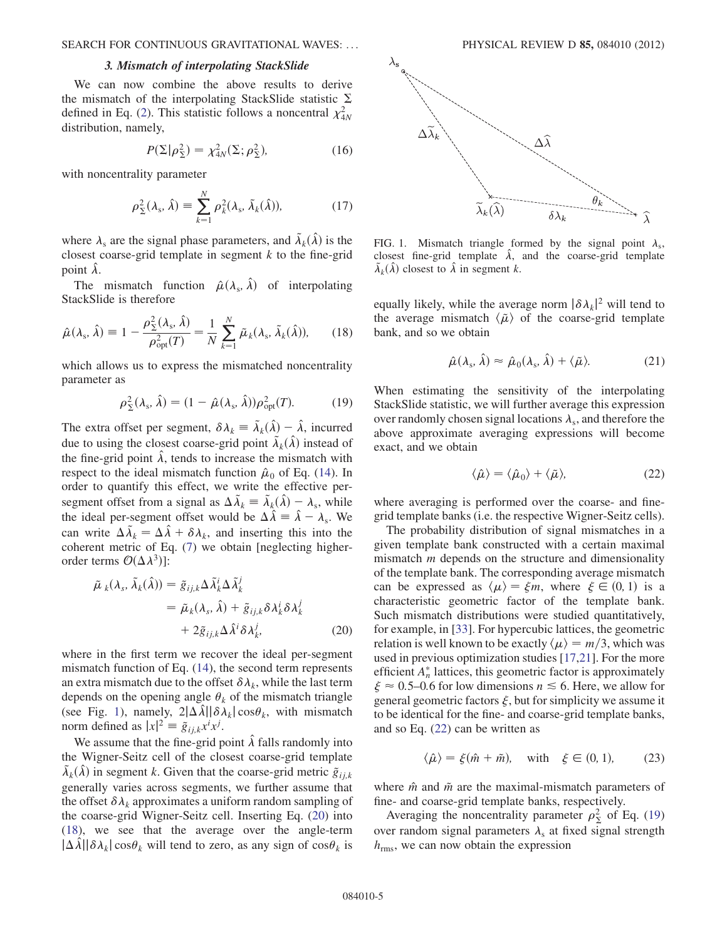#### 3. Mismatch of interpolating StackSlide

<span id="page-4-6"></span>We can now combine the above results to derive the mismatch of the interpolating StackSlide statistic  $\Sigma$ defined in Eq. ([2\)](#page-2-2). This statistic follows a noncentral  $\chi^2_{4N}$ distribution, namely,

$$
P(\Sigma|\rho_{\Sigma}^2) = \chi_{4N}^2(\Sigma; \rho_{\Sigma}^2),\tag{16}
$$

with noncentrality parameter

$$
\rho_{\Sigma}^2(\lambda_{\rm s}, \hat{\lambda}) \equiv \sum_{k=1}^N \rho_{\hat{k}}^2(\lambda_{\rm s}, \tilde{\lambda}_k(\hat{\lambda})), \tag{17}
$$

where  $\lambda_s$  are the signal phase parameters, and  $\tilde{\lambda}_k(\hat{\lambda})$  is the closest coarse-grid template in segment  $k$  to the fine-grid point  $\hat{\lambda}$ .

The mismatch function  $\hat{\mu}(\lambda_s, \hat{\lambda})$  of interpolating StackSlide is therefore

<span id="page-4-2"></span>
$$
\hat{\mu}(\lambda_{\rm s}, \hat{\lambda}) \equiv 1 - \frac{\rho_{\Sigma}^2(\lambda_{\rm s}, \hat{\lambda})}{\rho_{\rm opt}^2(T)} = \frac{1}{N} \sum_{k=1}^N \tilde{\mu}_k(\lambda_{\rm s}, \tilde{\lambda}_k(\hat{\lambda})), \qquad (18)
$$

<span id="page-4-4"></span>which allows us to express the mismatched noncentrality parameter as

$$
\rho_{\Sigma}^2(\lambda_{\rm s}, \hat{\lambda}) = (1 - \hat{\mu}(\lambda_{\rm s}, \hat{\lambda})) \rho_{\rm opt}^2(T). \tag{19}
$$

The extra offset per segment,  $\delta \lambda_k = \tilde{\lambda}_k (\hat{\lambda}) - \hat{\lambda}$ , incurred due to using the closest coarse-grid point  $\tilde{\lambda}_k(\hat{\lambda})$  instead of the fine-grid point  $\hat{\lambda}$ , tends to increase the mismatch with respect to the ideal mismatch function  $\hat{\mu}_0$  of Eq. [\(14\)](#page-3-4). In order to quantify this effect, we write the effective persegment offset from a signal as  $\Delta \tilde{\lambda}_k = \tilde{\lambda}_k(\hat{\lambda}) - \lambda_s$ , while the ideal per-segment offset would be  $\Delta \hat{\lambda} = \hat{\lambda} - \lambda_s$ . We can write  $\Delta \tilde{\lambda}_k = \Delta \hat{\lambda} + \delta \lambda_k$ , and inserting this into the coherent metric of Eq. [\(7](#page-3-2)) we obtain [neglecting higherorder terms  $\mathcal{O}(\Delta \lambda^3)$ :

<span id="page-4-1"></span>
$$
\tilde{\mu}_{k}(\lambda_{s}, \tilde{\lambda}_{k}(\hat{\lambda})) = \tilde{g}_{ij,k} \Delta \tilde{\lambda}_{k}^{i} \Delta \tilde{\lambda}_{k}^{j}
$$
\n
$$
= \tilde{\mu}_{k}(\lambda_{s}, \hat{\lambda}) + \tilde{g}_{ij,k} \delta \lambda_{k}^{i} \delta \lambda_{k}^{j}
$$
\n
$$
+ 2 \tilde{g}_{ij,k} \Delta \hat{\lambda}^{i} \delta \lambda_{k}^{j},
$$
\n(20)

where in the first term we recover the ideal per-segment mismatch function of Eq.  $(14)$ , the second term represents an extra mismatch due to the offset  $\delta \lambda_k$ , while the last term depends on the opening angle  $\theta_k$  of the mismatch triangle (see Fig. [1](#page-4-0)), namely,  $2|\Delta \hat{\lambda}| |\delta \lambda_k| \cos \theta_k$ , with mismatch norm defined as  $|x|^2 = \tilde{g}_{ij,k} x^i x^j$ .<br>We assume that the fine grid n

We assume that the fine-grid point  $\hat{\lambda}$  falls randomly into the Wigner-Seitz cell of the closest coarse-grid template  $\lambda_k(\lambda)$  in segment k. Given that the coarse-grid metric  $\tilde{g}_{i,j,k}$ generally varies across segments, we further assume that the offset  $\delta \lambda_k$  approximates a uniform random sampling of the coarse-grid Wigner-Seitz cell. Inserting Eq. ([20](#page-4-1)) into [\(18\)](#page-4-2), we see that the average over the angle-term  $|\Delta \lambda| |\delta \lambda_k| \cos \theta_k$  will tend to zero, as any sign of  $\cos \theta_k$  is

<span id="page-4-0"></span>

FIG. 1. Mismatch triangle formed by the signal point  $\lambda_s$ , closest fine-grid template  $\hat{\lambda}$ , and the coarse-grid template  $\tilde{\lambda}_k(\hat{\lambda})$  closest to  $\hat{\lambda}$  in segment k.

equally likely, while the average norm  $|\delta \lambda_k|^2$  will tend to the average mismatch  $\langle \tilde{u} \rangle$  of the coarse-grid template the average mismatch  $\langle \tilde{\mu} \rangle$  of the coarse-grid template bank, and so we obtain

$$
\hat{\mu}(\lambda_{\rm s},\,\hat{\lambda}) \approx \hat{\mu}_0(\lambda_{\rm s},\,\hat{\lambda}) + \langle \tilde{\mu} \rangle. \tag{21}
$$

<span id="page-4-3"></span>When estimating the sensitivity of the interpolating StackSlide statistic, we will further average this expression over randomly chosen signal locations  $\lambda_s$ , and therefore the above approximate averaging expressions will become exact, and we obtain

$$
\langle \hat{\mu} \rangle = \langle \hat{\mu}_0 \rangle + \langle \tilde{\mu} \rangle, \tag{22}
$$

where averaging is performed over the coarse- and finegrid template banks (i.e. the respective Wigner-Seitz cells).

The probability distribution of signal mismatches in a given template bank constructed with a certain maximal mismatch  $m$  depends on the structure and dimensionality of the template bank. The corresponding average mismatch can be expressed as  $\langle \mu \rangle = \xi m$ , where  $\xi \in (0, 1)$  is a characteristic geometric factor of the template bank. Such mismatch distributions were studied quantitatively, for example, in [[33](#page-17-28)]. For hypercubic lattices, the geometric relation is well known to be exactly  $\langle \mu \rangle = m/3$ , which was used in previous optimization studies [[17](#page-17-12)[,21](#page-17-16)]. For the more efficient  $A_n^*$  lattices, this geometric factor is approximately  $\xi \approx 0.5$ –0.6 for low dimensions  $n \le 6$ . Here, we allow for general geometric factors  $\xi$ , but for simplicity we assume it to be identical for the fine- and coarse-grid template banks, and so Eq. [\(22\)](#page-4-3) can be written as

<span id="page-4-5"></span>
$$
\langle \hat{\mu} \rangle = \xi(\hat{m} + \tilde{m}), \quad \text{with} \quad \xi \in (0, 1), \tag{23}
$$

where  $\hat{m}$  and  $\tilde{m}$  are the maximal-mismatch parameters of fine- and coarse-grid template banks, respectively.

Averaging the noncentrality parameter  $\rho^2$  of Eq. [\(19\)](#page-4-4) over random signal parameters  $\lambda_s$  at fixed signal strength  $h_{\rm rms}$ , we can now obtain the expression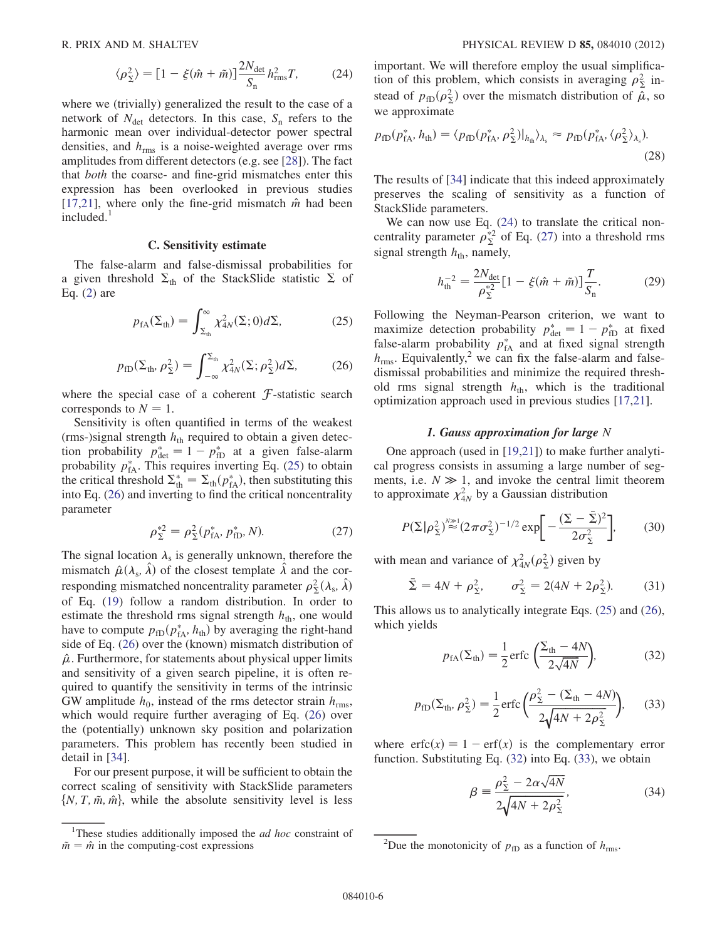<span id="page-5-2"></span>

$$
\langle \rho_{\Sigma}^2 \rangle = [1 - \xi(\hat{m} + \tilde{m})] \frac{2N_{\text{det}}}{S_{\text{n}}} h_{\text{rms}}^2 T, \qquad (24)
$$

where we (trivially) generalized the result to the case of a network of  $N_{\text{det}}$  detectors. In this case,  $S_n$  refers to the harmonic mean over individual-detector power spectral densities, and  $h_{\rm rms}$  is a noise-weighted average over rms amplitudes from different detectors (e.g. see [[28](#page-17-23)]). The fact that both the coarse- and fine-grid mismatches enter this expression has been overlooked in previous studies [\[17](#page-17-12)[,21\]](#page-17-16), where only the fine-grid mismatch  $\hat{m}$  had been  $included.<sup>1</sup>$ 

#### C. Sensitivity estimate

<span id="page-5-1"></span>The false-alarm and false-dismissal probabilities for a given threshold  $\Sigma_{\text{th}}$  of the StackSlide statistic  $\Sigma$  of Eq. ([2\)](#page-2-2) are

$$
p_{\text{fA}}(\Sigma_{\text{th}}) = \int_{\Sigma_{\text{th}}}^{\infty} \chi_{4N}^2(\Sigma; 0) d\Sigma,
$$
 (25)

$$
p_{\text{fD}}(\Sigma_{\text{th}}, \rho_{\Sigma}^2) = \int_{-\infty}^{\Sigma_{\text{th}}} \chi_{4N}^2(\Sigma; \rho_{\Sigma}^2) d\Sigma, \tag{26}
$$

<span id="page-5-0"></span>where the special case of a coherent  $\mathcal F$ -statistic search corresponds to  $N = 1$ .

Sensitivity is often quantified in terms of the weakest (rms-)signal strength  $h_{\text{th}}$  required to obtain a given detection probability  $p_{\text{det}}^* = 1 - p_{\text{fD}}^*$  at a given false-alarm<br>probability  $p^*$ . This requires inverting Eq. (25) to obtain probability  $p_{\text{fA}}^*$ . This requires inverting Eq. [\(25\)](#page-5-0) to obtain the critical threshold  $\Sigma_{\text{th}}^* = \Sigma_{\text{th}}(p_{\text{fA}}^*)$ , then substituting this into Eq. (26) and inverting to find the critical noncentrality into Eq. [\(26](#page-5-1)) and inverting to find the critical noncentrality parameter

$$
\rho_{\Sigma}^{*2} = \rho_{\Sigma}^2 (p_{\text{fA}}^*, p_{\text{fD}}^*, N). \tag{27}
$$

<span id="page-5-3"></span>The signal location  $\lambda_s$  is generally unknown, therefore the mismatch  $\hat{\mu} (\lambda_{s}, \lambda)$  of the closest template  $\lambda$  and the corresponding mismatched noncentrality parameter  $\rho^2(\lambda_s, \hat{\lambda})$ <br>of Eq. (10) follows a random distribution. In order to of Eq. ([19](#page-4-4)) follow a random distribution. In order to estimate the threshold rms signal strength  $h_{th}$ , one would have to compute  $p_{fD}(p_{fA}^*, h_{th})$  by averaging the right-hand<br>side of Eq. (26) over the (known) mismatch distribution of side of Eq. [\(26\)](#page-5-1) over the (known) mismatch distribution of  $\hat{\mu}$ . Furthermore, for statements about physical upper limits and sensitivity of a given search pipeline, it is often required to quantify the sensitivity in terms of the intrinsic GW amplitude  $h_0$ , instead of the rms detector strain  $h_{\text{rms}}$ , which would require further averaging of Eq. [\(26\)](#page-5-1) over the (potentially) unknown sky position and polarization parameters. This problem has recently been studied in detail in [\[34\]](#page-17-29).

For our present purpose, it will be sufficient to obtain the correct scaling of sensitivity with StackSlide parameters  $\{N, T, \tilde{m}, \hat{m}\}\$ , while the absolute sensitivity level is less important. We will therefore employ the usual simplification of this problem, which consists in averaging  $\rho_{\Sigma}^2$  instead of  $p_{\text{ID}}(\rho_{\Sigma}^2)$  over the mismatch distribution of  $\hat{\mu}$ , so we approximate

$$
p_{\text{fD}}(p_{\text{fA}}^*, h_{\text{th}}) = \langle p_{\text{fD}}(p_{\text{fA}}^*, \rho_{\Sigma}^2) |_{h_{\text{th}}} \rangle_{\lambda_{\text{s}}} \approx p_{\text{fD}}(p_{\text{fA}}^*, \langle \rho_{\Sigma}^2 \rangle_{\lambda_{\text{s}}}).
$$
\n(28)

The results of [\[34\]](#page-17-29) indicate that this indeed approximately preserves the scaling of sensitivity as a function of StackSlide parameters.

<span id="page-5-7"></span>We can now use Eq. [\(24\)](#page-5-2) to translate the critical noncentrality parameter  $\rho_{\Sigma}^{*2}$  of Eq. ([27](#page-5-3)) into a threshold rms signal strength  $h_{th}$ , namely,

$$
h_{\text{th}}^{-2} = \frac{2N_{\text{det}}}{\rho_{\Sigma}^{*2}} \left[ 1 - \xi(\hat{m} + \tilde{m}) \right] \frac{T}{S_{\text{n}}}.
$$
 (29)

Following the Neyman-Pearson criterion, we want to maximize detection probability  $p_{\text{det}}^* = 1 - p_{\text{ID}}^*$  at fixed<br>false-alarm probability  $p^*$  and at fixed signal strength false-alarm probability  $p_{\text{fA}}^*$  and at fixed signal strength  $h_{\text{rms}}$ . Equivalently,<sup>2</sup> we can fix the false-alarm and falsedismissal probabilities and minimize the required threshold rms signal strength  $h_{th}$ , which is the traditional optimization approach used in previous studies [\[17](#page-17-12)[,21\]](#page-17-16).

#### 1. Gauss approximation for large N

One approach (used in [[19](#page-17-14),[21](#page-17-16)]) to make further analytical progress consists in assuming a large number of segments, i.e.  $N \gg 1$ , and invoke the central limit theorem<br>to approximate  $y_{2}^2$ , by a Gaussian distribution to approximate  $\chi^2_{4N}$  by a Gaussian distribution

$$
P(\Sigma|\rho_{\Sigma}^2)^{\approx 1/2} (2\pi\sigma_{\Sigma}^2)^{-1/2} \exp\bigg[-\frac{(\Sigma-\bar{\Sigma})^2}{2\sigma_{\Sigma}^2}\bigg],\qquad(30)
$$

with mean and variance of  $\chi^2_{4N}(\rho^2_{\Sigma})$  given by

$$
\bar{\Sigma} = 4N + \rho_{\Sigma}^2, \qquad \sigma_{\Sigma}^2 = 2(4N + 2\rho_{\Sigma}^2). \tag{31}
$$

<span id="page-5-5"></span>This allows us to analytically integrate Eqs. [\(25\)](#page-5-0) and ([26\)](#page-5-1), which yields

$$
p_{\text{fA}}(\Sigma_{\text{th}}) = \frac{1}{2} \text{erfc}\left(\frac{\Sigma_{\text{th}} - 4N}{2\sqrt{4N}}\right),\tag{32}
$$

$$
p_{fD}(\Sigma_{\text{th}}, \rho_{\Sigma}^2) = \frac{1}{2} \text{erfc} \left( \frac{\rho_{\Sigma}^2 - (\Sigma_{\text{th}} - 4N)}{2\sqrt{4N + 2\rho_{\Sigma}^2}} \right), \quad (33)
$$

<span id="page-5-6"></span><span id="page-5-4"></span>where  $erfc(x) \equiv 1 - erf(x)$  is the complementary error function. Substituting Eq. ([32](#page-5-4)) into Eq. [\(33\)](#page-5-5), we obtain

$$
\beta = \frac{\rho_{\Sigma}^2 - 2\alpha\sqrt{4N}}{2\sqrt{4N + 2\rho_{\Sigma}^2}},\tag{34}
$$

<sup>&</sup>lt;sup>1</sup>These studies additionally imposed the *ad hoc* constraint of  $\tilde{m} = \hat{m}$  in the computing-cost expressions

<sup>&</sup>lt;sup>2</sup>Due the monotonicity of  $p_{fD}$  as a function of  $h_{rms}$ .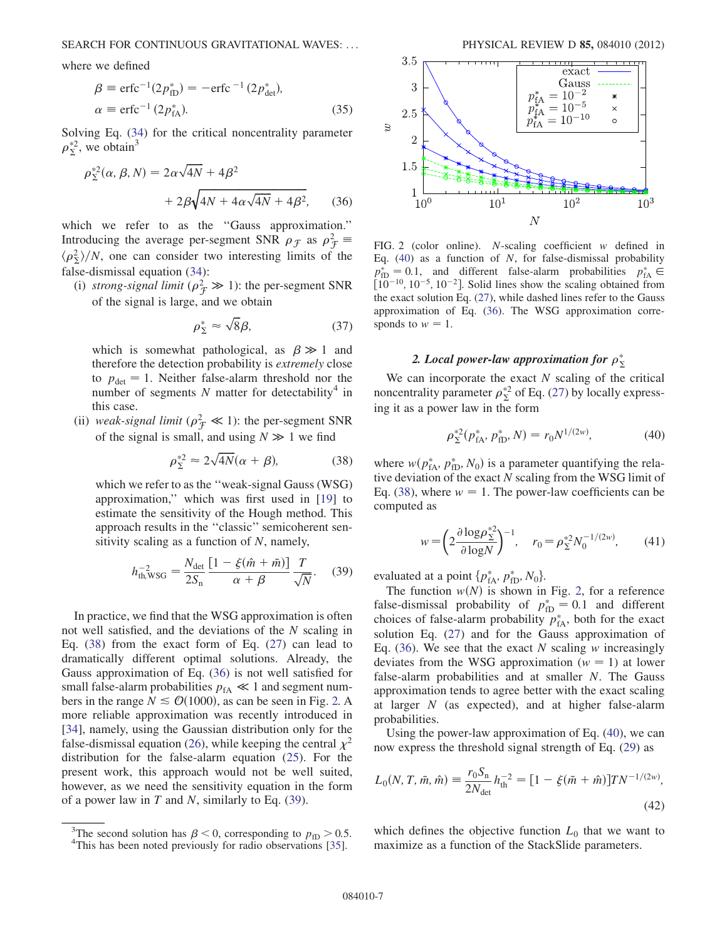#### SEARCH FOR CONTINUOUS GRAVITATIONAL WAVES: ... PHYSICAL REVIEW D 85, 084010 (2012)

where we defined

$$
\beta = \text{erfc}^{-1}(2p_{fD}^*) = -\text{erfc}^{-1}(2p_{det}^*), \n\alpha = \text{erfc}^{-1}(2p_{fA}^*).
$$
\n(35)

<span id="page-6-1"></span>Solving Eq. ([34](#page-5-6)) for the critical noncentrality parameter  $\rho_{\Sigma}^{*2}$ , we obtain<sup>3</sup>

$$
\rho_{\Sigma}^{*2}(\alpha, \beta, N) = 2\alpha\sqrt{4N} + 4\beta^2
$$

$$
+ 2\beta\sqrt{4N + 4\alpha\sqrt{4N} + 4\beta^2}, \qquad (36)
$$

which we refer to as the ''Gauss approximation.'' Introducing the average per-segment SNR  $\rho_f$  as  $\rho_f^2 \equiv$ minoducing the average per-segment sixt  $p_f$  as  $p_f -$ <br> $\langle p_{\Sigma}^2 \rangle/N$ , one can consider two interesting limits of the<br>false dismissal equation (34). false-dismissal equation ([34](#page-5-6)):

(i) strong-signal limit ( $\rho_T^2 \gg 1$ ): the per-segment SNR strong-signal time  $(\rho_f \gg 1)$ , the position

$$
\rho_{\Sigma}^* \approx \sqrt{8}\beta,\tag{37}
$$

which is somewhat pathological, as  $\beta \gg 1$  and therefore the detection probability is *extremely* close to  $p_{\text{det}} = 1$ . Neither false-alarm threshold nor the number of segments  $N$  matter for detectability<sup>4</sup> in this case.

<span id="page-6-0"></span>(ii) weak-signal limit ( $\rho^2 \ll 1$ ): the per-segment SNR<br>of the signal is small, and using  $N \gg 1$  we find of the signal is small, and using  $N \gg 1$  we find

$$
\rho_{\Sigma}^{*2} \approx 2\sqrt{4N}(\alpha + \beta), \tag{38}
$$

which we refer to as the ''weak-signal Gauss (WSG) approximation,'' which was first used in [[19](#page-17-14)] to estimate the sensitivity of the Hough method. This approach results in the ''classic'' semicoherent sensitivity scaling as a function of  $N$ , namely,

<span id="page-6-3"></span>
$$
h_{\text{th,WSG}}^{-2} = \frac{N_{\text{det}}}{2S_{\text{n}}} \frac{\left[1 - \xi(\hat{m} + \tilde{m})\right]}{\alpha + \beta} \frac{T}{\sqrt{N}}.\tag{39}
$$

In practice, we find that the WSG approximation is often not well satisfied, and the deviations of the N scaling in Eq. ([38](#page-6-0)) from the exact form of Eq. [\(27\)](#page-5-3) can lead to dramatically different optimal solutions. Already, the Gauss approximation of Eq. ([36](#page-6-1)) is not well satisfied for small false-alarm probabilities  $p_{fA} \ll 1$  and segment numbers in the range  $N \leq O(1000)$ , as can be seen in Fig. [2.](#page-6-2) A more reliable approximation was recently introduced in [\[34\]](#page-17-29), namely, using the Gaussian distribution only for the false-dismissal equation ([26](#page-5-1)), while keeping the central  $\chi^2$ distribution for the false-alarm equation ([25\)](#page-5-0). For the present work, this approach would not be well suited, however, as we need the sensitivity equation in the form of a power law in  $T$  and  $N$ , similarly to Eq. [\(39\)](#page-6-3).

evaluated at a point  $\{p_{\text{fA}}^*, p_{\text{fD}}^*, N_0\}$ .<br>The function  $w(N)$  is shown in

The function  $w(N)$  is shown in Fig. [2,](#page-6-2) for a reference false-dismissal probability of  $p_{fD}^* = 0.1$  and different choices of false-alarm probability  $p_{fA}^*$ , both for the exact solution Eq. [\(27\)](#page-5-3) and for the Gauss approximation of Eq. [\(36\)](#page-6-1). We see that the exact N scaling w increasingly deviates from the WSG approximation ( $w = 1$ ) at lower false-alarm probabilities and at smaller N. The Gauss approximation tends to agree better with the exact scaling at larger  $N$  (as expected), and at higher false-alarm probabilities.

<span id="page-6-5"></span>Using the power-law approximation of Eq. [\(40\)](#page-6-4), we can now express the threshold signal strength of Eq. [\(29\)](#page-5-7) as

$$
L_0(N, T, \tilde{m}, \hat{m}) \equiv \frac{r_0 S_n}{2N_{\text{det}}} h_{\text{th}}^{-2} = [1 - \xi(\tilde{m} + \hat{m})] T N^{-1/(2w)},\tag{42}
$$

which defines the objective function  $L_0$  that we want to maximize as a function of the StackSlide parameters.

<span id="page-6-2"></span>

FIG. 2 (color online). N-scaling coefficient w defined in Eq.  $(40)$  as a function of N, for false-dismissal probability  $p_{\text{ID}}^* = 0.1$ , and different false-alarm probabilities  $p_{\text{L}}^*$ <br> $[10^{-10} 10^{-5} 10^{-2}]$  Solid lines show the scaling obtained f  $p_{fB} = 0.1$ , and different raise-atain probabilities  $p_{fA} \subseteq [10^{-10}, 10^{-5}, 10^{-2}]$ . Solid lines show the scaling obtained from the exact solution Eq. (27) while dashed lines refer to the Gauss the exact solution Eq. ([27](#page-5-3)), while dashed lines refer to the Gauss approximation of Eq. [\(36\)](#page-6-1). The WSG approximation corresponds to  $w = 1$ .

# 2. Local power-law approximation for  $\rho_{\Sigma}^{\ast}$

<span id="page-6-4"></span>We can incorporate the exact  $N$  scaling of the critical noncentrality parameter  $\rho_{\Sigma}^{*2}$  of Eq. [\(27\)](#page-5-3) by locally expressing it as a power law in the form

$$
\rho_{\Sigma}^{*2}(p_{\text{fA}}^*, p_{\text{fD}}^*, N) = r_0 N^{1/(2w)}, \tag{40}
$$

 $\int^{-1}$ ,  $r_0 = \rho_{\Sigma}^{*2} N_0^{-1/(2w)}$ , (41)

<span id="page-6-6"></span>where  $w(p_{fA}^*, p_{fD}^*, N_0)$  is a parameter quantifying the rela-<br>tive deviation of the exact N scaling from the WSG limit of tive deviation of the exact N scaling from the WSG limit of Eq. [\(38\)](#page-6-0), where  $w = 1$ . The power-law coefficients can be computed as

<sup>&</sup>lt;sup>3</sup>The second solution has  $\beta$  < 0, corresponding to  $p_{fD} > 0.5$ .<br><sup>4</sup>This has been noted previously for radio observations [35] This has been noted previously for radio observations [[35](#page-17-30)].

 $w = \left(2 \frac{\partial \log \rho_{\Sigma}^{*2}}{\partial \log N}\right)$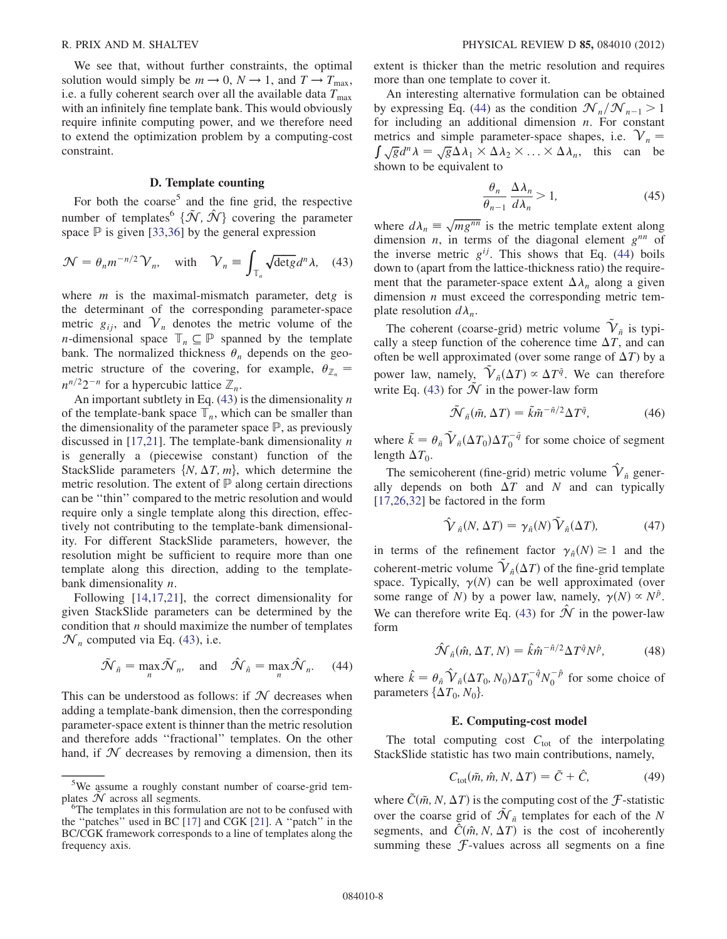We see that, without further constraints, the optimal solution would simply be  $m \to 0$ ,  $N \to 1$ , and  $T \to T_{\text{max}}$ , i.e. a fully coherent search over all the available data  $T_{\text{max}}$ with an infinitely fine template bank. This would obviously require infinite computing power, and we therefore need to extend the optimization problem by a computing-cost constraint.

# D. Template counting

<span id="page-7-0"></span>For both the coarse<sup>5</sup> and the fine grid, the respective number of templates  $\{\mathcal{N}, \mathcal{N}\}$  covering the parameter space  $\mathbb P$  is given [\[33](#page-17-28)[,36\]](#page-17-31) by the general expression

<span id="page-7-1"></span>
$$
\mathcal{N} = \theta_n m^{-n/2} \mathcal{V}_n, \quad \text{with} \quad \mathcal{V}_n \equiv \int_{\mathbb{T}_n} \sqrt{\det g} d^n \lambda, \quad (43)
$$

where  $m$  is the maximal-mismatch parameter, detg is the determinant of the corresponding parameter-space metric  $g_{ij}$ , and  $V_n$  denotes the metric volume of the *n*-dimensional space  $\mathbb{T}_n \subseteq \mathbb{P}$  spanned by the template bank. The normalized thickness  $\theta$  depends on the geobank. The normalized thickness  $\theta_n$  depends on the geometric structure of the covering, for example,  $\theta_{\mathbb{Z}_n} =$  $n^{n/2}2^{-n}$  for a hypercubic lattice  $\mathbb{Z}_n$ .

An important subtlety in Eq.  $(43)$  is the dimensionality n of the template-bank space  $\mathbb{T}_n$ , which can be smaller than the dimensionality of the parameter space  $\mathbb{P}$ , as previously discussed in  $[17,21]$  $[17,21]$ . The template-bank dimensionality *n* is generally a (piecewise constant) function of the StackSlide parameters  $\{N, \Delta T, m\}$ , which determine the metric resolution. The extent of  $\mathbb P$  along certain directions can be ''thin'' compared to the metric resolution and would require only a single template along this direction, effectively not contributing to the template-bank dimensionality. For different StackSlide parameters, however, the resolution might be sufficient to require more than one template along this direction, adding to the templatebank dimensionality *n*.

<span id="page-7-2"></span>Following [\[14](#page-17-10)[,17,](#page-17-12)[21\]](#page-17-16), the correct dimensionality for given StackSlide parameters can be determined by the condition that  $n$  should maximize the number of templates  $\mathcal{N}_n$  computed via Eq. [\(43\)](#page-7-1), i.e.

$$
\tilde{\mathcal{N}}_{\tilde{n}} = \max_{n} \tilde{\mathcal{N}}_{n}, \quad \text{and} \quad \hat{\mathcal{N}}_{\hat{n}} = \max_{n} \hat{\mathcal{N}}_{n}. \tag{44}
$$

This can be understood as follows: if  $N$  decreases when adding a template-bank dimension, then the corresponding parameter-space extent is thinner than the metric resolution and therefore adds ''fractional'' templates. On the other hand, if  $\mathcal N$  decreases by removing a dimension, then its extent is thicker than the metric resolution and requires more than one template to cover it.

An interesting alternative formulation can be obtained by expressing Eq. ([44\)](#page-7-2) as the condition  $\mathcal{N}_n/\mathcal{N}_{n-1} > 1$ for including an additional dimension  $n$ . For constant metrics and simple parameter-space shapes, i.e.  $V_n = \int \sqrt{g} d^n \lambda = \sqrt{g} \Delta \lambda_1 \times \Delta \lambda_2 \times ... \times \Delta \lambda_n$ , this can be shown to be equivalent to shown to be equivalent to

$$
\frac{\theta_n}{\theta_{n-1}} \frac{\Delta \lambda_n}{d\lambda_n} > 1,
$$
\n(45)

where  $d\lambda_n \equiv \sqrt{mg^{n\hbar}}$  is the metric template extent along<br>dimension *n* in terms of the diagonal element  $g^{nn}$  of dimension *n*, in terms of the diagonal element  $g^{nn}$  of the inverse metric  $g^{ij}$ . This shows that Eq. [\(44\)](#page-7-2) boils down to (apart from the lattice-thickness ratio) the requirement that the parameter-space extent  $\Delta \lambda_n$  along a given dimension  $n$  must exceed the corresponding metric template resolution  $d\lambda_n$ .

The coherent (coarse-grid) metric volume  $V_{n}$  is typically a steep function of the coherence time  $\Delta T$ , and can often be well approximated (over some range of  $\Delta T$ ) by a power law, namely,  $\widetilde{V}_{\tilde{n}}(\Delta T) \propto \Delta T^{\tilde{q}}$ . We can therefore write Eq. [\(43\)](#page-7-1) for  $\tilde{\mathcal{N}}$  in the power-law form

$$
\tilde{\mathcal{N}}_{\tilde{n}}(\tilde{m}, \Delta T) = \tilde{k}\tilde{m}^{-\tilde{n}/2} \Delta T^{\tilde{q}}, \tag{46}
$$

<span id="page-7-3"></span>where  $\tilde{k} = \theta_{\tilde{n}} \tilde{\mathcal{V}}_{\tilde{n}} (\Delta T_0) \Delta T_0^{-\tilde{q}}$  for some choice of segment length  $\Delta T_0$ .

The semicoherent (fine-grid) metric volume  $V_{\hat{n}}$  generally depends on both  $\Delta T$  and N and can typically [\[17](#page-17-12)[,26,](#page-17-21)[32](#page-17-27)] be factored in the form

$$
\hat{\mathcal{V}}_{\hat{n}}(N,\Delta T) = \gamma_{\hat{n}}(N)\tilde{\mathcal{V}}_{\hat{n}}(\Delta T),\tag{47}
$$

in terms of the refinement factor  $\gamma_{\hat{n}}(N) \ge 1$  and the coherent-metric volume  $\hat{\mathcal{V}}_{\hat{n}}(\Delta T)$  of the fine-grid template space. Typically,  $\gamma(N)$  can be well approximated (over some range of N) by a power law, namely,  $\gamma(N) \propto N^{\hat{p}}$ .<br>We can therefore unite Eq. (42) for  $\hat{A}^{\hat{C}}$  in the normal law We can therefore write Eq. ([43](#page-7-1)) for  $\hat{\mathcal{N}}$  in the power-law form

$$
\hat{\mathcal{N}}_{\hat{n}}(\hat{m}, \Delta T, N) = \hat{k}\hat{m}^{-\hat{n}/2} \Delta T^{\hat{q}} N^{\hat{p}}, \tag{48}
$$

<span id="page-7-4"></span>where  $\hat{k} = \theta_{\hat{n}} \hat{\mathcal{V}}_{\hat{n}}(\Delta T_0, N_0) \Delta T_0^{-\hat{q}} N_0^{-\hat{p}}$  for some choice of parameters  $\{\Delta T_0, N_0\}$ .

# E. Computing-cost model

<span id="page-7-6"></span><span id="page-7-5"></span>The total computing cost  $C_{\text{tot}}$  of the interpolating StackSlide statistic has two main contributions, namely,

$$
C_{\text{tot}}(\tilde{m}, \hat{m}, N, \Delta T) = \tilde{C} + \hat{C}, \tag{49}
$$

where  $\tilde{C}(\tilde{m}, N, \Delta T)$  is the computing cost of the *f*-statistic over the coarse grid of  $\tilde{\mathcal{N}}_{n}$  templates for each of the N segments, and  $\hat{C}(\hat{m}, N, \Delta T)$  is the cost of incoherently summing these  $\mathcal F$ -values across all segments on a fine

<sup>&</sup>lt;sup>5</sup>We assume a roughly constant number of coarse-grid templates  $\mathcal N$  across all segments.

<sup>&</sup>lt;sup>6</sup>The templates in this formulation are not to be confused with the ''patches'' used in BC [[17](#page-17-12)] and CGK [[21](#page-17-16)]. A ''patch'' in the BC/CGK framework corresponds to a line of templates along the frequency axis.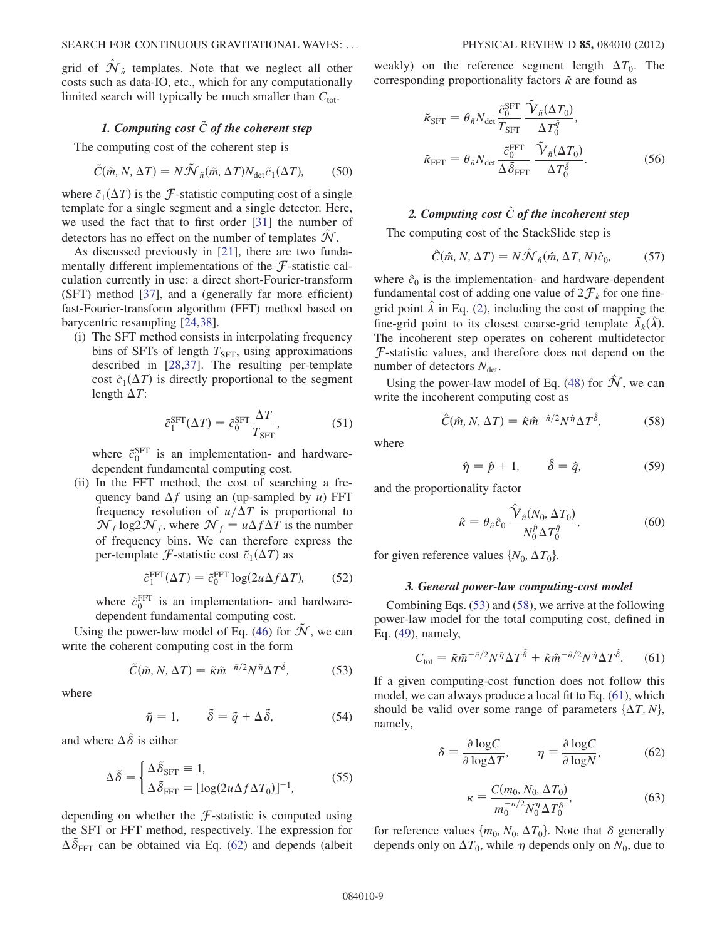grid of  $\hat{\mathcal{N}}_{\hat{n}}$  templates. Note that we neglect all other costs such as data-IO, etc., which for any computationally limited search will typically be much smaller than  $C_{\text{tot}}$ .

# 1. Computing cost  $\overline{C}$  of the coherent step

<span id="page-8-7"></span>The computing cost of the coherent step is

$$
\tilde{C}(\tilde{m}, N, \Delta T) = N \tilde{\mathcal{N}}_{\tilde{n}}(\tilde{m}, \Delta T) N_{\det} \tilde{c}_1(\Delta T), \qquad (50)
$$

where  $\tilde{c}_1(\Delta T)$  is the *f*-statistic computing cost of a single template for a single segment and a single detector. Here, we used the fact that to first order [\[31\]](#page-17-26) the number of detectors has no effect on the number of templates  $\mathcal N$ .

As discussed previously in [[21](#page-17-16)], there are two fundamentally different implementations of the  $\mathcal F$ -statistic calculation currently in use: a direct short-Fourier-transform (SFT) method [[37](#page-17-32)], and a (generally far more efficient) fast-Fourier-transform algorithm (FFT) method based on barycentric resampling [\[24](#page-17-19)[,38\]](#page-17-33).

(i) The SFT method consists in interpolating frequency bins of SFTs of length  $T<sub>SFT</sub>$ , using approximations described in [\[28,](#page-17-23)[37\]](#page-17-32). The resulting per-template cost  $\tilde{c}_1(\Delta T)$  is directly proportional to the segment length  $\Delta T$ :

$$
\tilde{c}_1^{\text{SFT}}(\Delta T) = \tilde{c}_0^{\text{SFT}} \frac{\Delta T}{T_{\text{SFT}}},\tag{51}
$$

where  $\tilde{c}_0^{\text{SFT}}$  is an implementation- and hardwaredependent fundamental computing cost.

(ii) In the FFT method, the cost of searching a frequency band  $\Delta f$  using an (up-sampled by u) FFT frequency resolution of  $u/\Delta T$  is proportional to  $\mathcal{N}_f \log 2 \mathcal{N}_f$ , where  $\mathcal{N}_f = u \Delta f \Delta T$  is the number of frequency bins. We can therefore express the per-template *f*-statistic cost  $\tilde{c}_1(\Delta T)$  as

$$
\tilde{c}_1^{\text{FFT}}(\Delta T) = \tilde{c}_0^{\text{FFT}} \log(2u\Delta f \Delta T),\tag{52}
$$

where  $\tilde{c}_0^{\text{FFT}}$  is an implementation- and hardwaredependent fundamental computing cost.

<span id="page-8-1"></span>Using the power-law model of Eq. ([46](#page-7-3)) for  $\mathcal{N}$ , we can write the coherent computing cost in the form

$$
\tilde{C}(\tilde{m}, N, \Delta T) = \tilde{\kappa} \tilde{m}^{-\tilde{n}/2} N^{\tilde{\eta}} \Delta T^{\tilde{\delta}}, \tag{53}
$$

<span id="page-8-4"></span>where

$$
\tilde{\eta} = 1, \qquad \tilde{\delta} = \tilde{q} + \Delta \tilde{\delta}, \tag{54}
$$

<span id="page-8-5"></span>and where  $\Delta \tilde{\delta}$  is either

$$
\Delta \tilde{\delta} = \begin{cases} \Delta \tilde{\delta}_{\text{SFT}} \equiv 1, \\ \Delta \tilde{\delta}_{\text{FFT}} \equiv [\log(2u\Delta f \Delta T_0)]^{-1}, \end{cases} (55)
$$

depending on whether the  $\mathcal F$ -statistic is computed using the SFT or FFT method, respectively. The expression for  $\Delta \delta_{\text{FFT}}$  can be obtained via Eq. ([62](#page-8-0)) and depends (albeit weakly) on the reference segment length  $\Delta T_0$ . The corresponding proportionality factors  $\tilde{\kappa}$  are found as

$$
\tilde{\kappa}_{\text{SFT}} = \theta_{\tilde{n}} N_{\text{det}} \frac{\tilde{c}_{0}^{\text{SFT}}}{T_{\text{SFT}}} \frac{\tilde{\mathcal{V}}_{\tilde{n}}(\Delta T_{0})}{\Delta T_{0}^{\tilde{q}}},
$$
\n
$$
\tilde{\kappa}_{\text{FFT}} = \theta_{\tilde{n}} N_{\text{det}} \frac{\tilde{c}_{0}^{\text{FFT}}}{\Delta \tilde{\delta}_{\text{FFT}}} \frac{\tilde{\mathcal{V}}_{\tilde{n}}(\Delta T_{0})}{\Delta T_{0}^{\tilde{\delta}}}.
$$
\n(56)

# 2. Computing cost  $\hat{C}$  of the incoherent step

The computing cost of the StackSlide step is

$$
\hat{C}(\hat{m}, N, \Delta T) = N \hat{\mathcal{N}}_{\hat{n}}(\hat{m}, \Delta T, N) \hat{c}_0, \tag{57}
$$

where  $\hat{c}_0$  is the implementation- and hardware-dependent fundamental cost of adding one value of  $2\mathcal{F}_k$  for one finegrid point  $\hat{\lambda}$  in Eq. ([2\)](#page-2-2), including the cost of mapping the fine-grid point to its closest coarse-grid template  $\tilde{\lambda}_k(\hat{\lambda})$ . The incoherent step operates on coherent multidetector *-statistic values, and therefore does not depend on the* number of detectors  $N_{\text{det}}$ .

<span id="page-8-2"></span>Using the power-law model of Eq. ([48](#page-7-4)) for  $\hat{\mathcal{N}}$ , we can write the incoherent computing cost as

$$
\hat{C}(\hat{m}, N, \Delta T) = \hat{\kappa} \hat{m}^{-\hat{n}/2} N^{\hat{\eta}} \Delta T^{\hat{\delta}}, \tag{58}
$$

<span id="page-8-6"></span>where

$$
\hat{\eta} = \hat{p} + 1, \qquad \hat{\delta} = \hat{q}, \tag{59}
$$

and the proportionality factor

$$
\hat{\kappa} = \theta_{\hat{n}} \hat{c}_0 \frac{\hat{\mathcal{V}}_{\hat{n}}(N_0, \Delta T_0)}{N_0^{\hat{p}} \Delta T_0^{\hat{q}}},
$$
\n(60)

for given reference values  $\{N_0, \Delta T_0\}$ .

#### 3. General power-law computing-cost model

<span id="page-8-3"></span>Combining Eqs. ([53](#page-8-1)) and [\(58\)](#page-8-2), we arrive at the following power-law model for the total computing cost, defined in Eq. ([49](#page-7-5)), namely,

$$
C_{\text{tot}} = \tilde{\kappa} \tilde{m}^{-\tilde{n}/2} N^{\tilde{\eta}} \Delta T^{\tilde{\delta}} + \hat{\kappa} \hat{m}^{-\hat{n}/2} N^{\hat{\eta}} \Delta T^{\hat{\delta}}.
$$
 (61)

<span id="page-8-8"></span>If a given computing-cost function does not follow this model, we can always produce a local fit to Eq. ([61](#page-8-3)), which should be valid over some range of parameters  $\{\Delta T, N\}$ , namely,

$$
\delta = \frac{\partial \log C}{\partial \log \Delta T}, \qquad \eta = \frac{\partial \log C}{\partial \log N}, \tag{62}
$$

$$
\kappa \equiv \frac{C(m_0, N_0, \Delta T_0)}{m_0^{-n/2} N_0^n \Delta T_0^\delta},
$$
\n(63)

<span id="page-8-0"></span>for reference values  $\{m_0, N_0, \Delta T_0\}$ . Note that  $\delta$  generally depends only on  $\Delta T_0$ , while  $\eta$  depends only on  $N_0$ , due to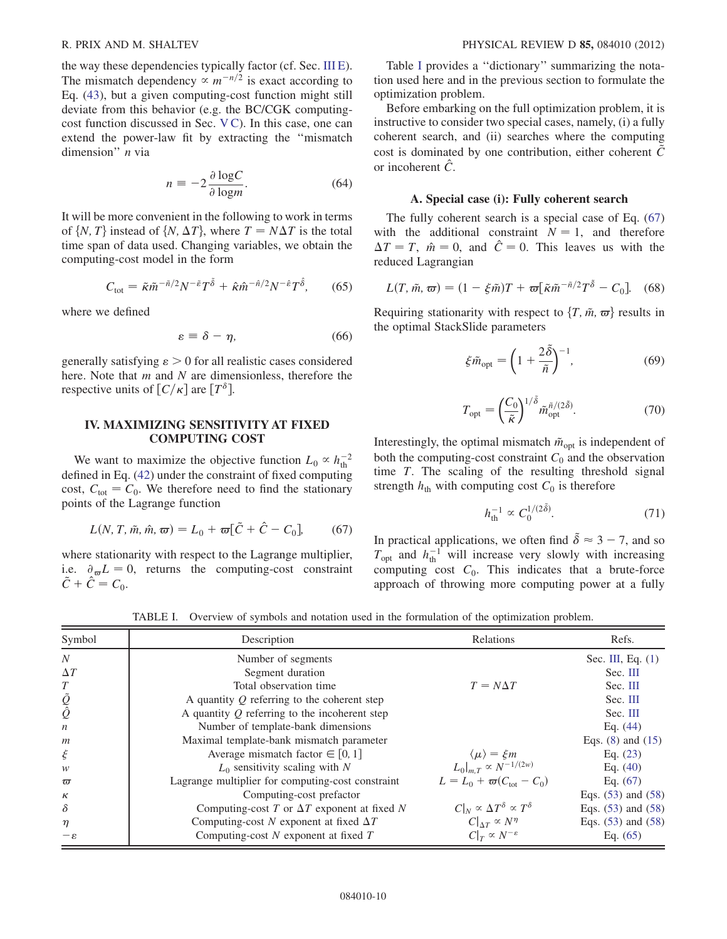the way these dependencies typically factor (cf. Sec. [III E\)](#page-7-6). The mismatch dependency  $\propto m^{-n/2}$  is exact according to Eq. [\(43\)](#page-7-1), but a given computing-cost function might still deviate from this behavior (e.g. the BC/CGK computingcost function discussed in Sec. [V C](#page-15-0)). In this case, one can extend the power-law fit by extracting the ''mismatch dimension" *n* via

$$
n \equiv -2 \frac{\partial \log C}{\partial \log m}.
$$
 (64)

<span id="page-9-8"></span><span id="page-9-3"></span>It will be more convenient in the following to work in terms of  $\{N, T\}$  instead of  $\{N, \Delta T\}$ , where  $T = N\Delta T$  is the total time span of data used. Changing variables, we obtain the computing-cost model in the form

$$
C_{\text{tot}} = \tilde{\kappa}\tilde{m}^{-\tilde{n}/2}N^{-\tilde{\varepsilon}}T^{\tilde{\delta}} + \hat{\kappa}\hat{m}^{-\hat{n}/2}N^{-\hat{\varepsilon}}T^{\hat{\delta}},\qquad(65)
$$

where we defined

$$
\varepsilon \equiv \delta - \eta, \tag{66}
$$

generally satisfying  $\varepsilon > 0$  for all realistic cases considered here. Note that *m* and *N* are dimensionless, therefore the respective units of  $[C/\kappa]$  are  $[T^{\delta}].$ 

# <span id="page-9-0"></span>IV. MAXIMIZING SENSITIVITY AT FIXED COMPUTING COST

<span id="page-9-2"></span>We want to maximize the objective function  $L_0 \propto h_{\text{th}}^{-2}$ <br>fined in Eq. (42) under the constraint of fixed computing defined in Eq. [\(42](#page-6-5)) under the constraint of fixed computing cost,  $C_{\text{tot}} = C_0$ . We therefore need to find the stationary points of the Lagrange function

$$
L(N, T, \tilde{m}, \hat{m}, \varpi) = L_0 + \varpi [\tilde{C} + \hat{C} - C_0],
$$
 (67)

where stationarity with respect to the Lagrange multiplier, i.e.  $\partial_{\varpi}L = 0$ , returns the computing-cost constraint  $\tilde{C} + \hat{C} = C_0.$ 

Table [I](#page-9-1) provides a ''dictionary'' summarizing the notation used here and in the previous section to formulate the optimization problem.

Before embarking on the full optimization problem, it is instructive to consider two special cases, namely, (i) a fully coherent search, and (ii) searches where the computing cost is dominated by one contribution, either coherent  $\tilde{C}$ or incoherent  $\hat{C}$ .

#### A. Special case (i): Fully coherent search

<span id="page-9-5"></span>The fully coherent search is a special case of Eq. [\(67\)](#page-9-2) with the additional constraint  $N = 1$ , and therefore  $\Delta T = T$ ,  $\hat{m} = 0$ , and  $\hat{C} = 0$ . This leaves us with the reduced Lagrangian

$$
L(T, \tilde{m}, \varpi) = (1 - \xi \tilde{m})T + \varpi [\tilde{\kappa} \tilde{m}^{-\tilde{n}/2} T^{\tilde{\delta}} - C_0].
$$
 (68)

<span id="page-9-6"></span>Requiring stationarity with respect to  $\{T, \tilde{m}, \varpi\}$  results in the optimal StackSlide parameters

$$
\xi \tilde{m}_{\text{opt}} = \left(1 + \frac{2\tilde{\delta}}{\tilde{n}}\right)^{-1},\tag{69}
$$

$$
T_{\rm opt} = \left(\frac{C_0}{\tilde{\kappa}}\right)^{1/\tilde{\delta}} \tilde{m}_{\rm opt}^{\tilde{n}/(2\tilde{\delta})}.\tag{70}
$$

<span id="page-9-7"></span><span id="page-9-4"></span>Interestingly, the optimal mismatch  $\tilde{m}_{opt}$  is independent of both the computing-cost constraint  $C_0$  and the observation time T. The scaling of the resulting threshold signal strength  $h_{\text{th}}$  with computing cost  $C_0$  is therefore

$$
h_{\text{th}}^{-1} \propto C_0^{1/(2\tilde{\delta})}.\tag{71}
$$

In practical applications, we often find  $\tilde{\delta} \approx 3 - 7$ , and so  $T_{\text{opt}}$  and  $h_{\text{th}}^{-1}$  will increase very slowly with increasing computing cost  $C_0$ . This indicates that a brute-force approach of throwing more computing power at a fully

TABLE I. Overview of symbols and notation used in the formulation of the optimization problem.

<span id="page-9-1"></span>

| Symbol                                             | Description                                        | Relations                                           | Refs.                  |
|----------------------------------------------------|----------------------------------------------------|-----------------------------------------------------|------------------------|
| $\boldsymbol{N}$                                   | Number of segments                                 |                                                     | Sec. III, Eq. $(1)$    |
| $\Delta T$                                         | Segment duration                                   |                                                     | Sec. III               |
| $\cal T$                                           | Total observation time                             | $T = N\Delta T$                                     | Sec. III               |
| $\mathop{\hat{\varrho}}\limits^{\tilde{ \varrho}}$ | A quantity $Q$ referring to the coherent step      |                                                     | Sec. III               |
|                                                    | A quantity $Q$ referring to the incoherent step    |                                                     | Sec. III               |
| $\boldsymbol{n}$                                   | Number of template-bank dimensions                 |                                                     | Eq. $(44)$             |
| m                                                  | Maximal template-bank mismatch parameter           |                                                     | Eqs. $(8)$ and $(15)$  |
| $\xi$                                              | Average mismatch factor $\in [0, 1]$               | $\langle \mu \rangle = \xi m$                       | Eq. $(23)$             |
| W                                                  | $L_0$ sensitivity scaling with N                   | $L_0 _{m,T} \propto N^{-1/(2w)}$                    | Eq. $(40)$             |
| $\varpi$                                           | Lagrange multiplier for computing-cost constraint  | $L = L_0 + \varpi (C_{\text{tot}} - C_0)$           | Eq. $(67)$             |
| к                                                  | Computing-cost prefactor                           |                                                     | Eqs. $(53)$ and $(58)$ |
| $\delta$                                           | Computing-cost T or $\Delta T$ exponent at fixed N | $C _N \propto \Delta T^{\delta} \propto T^{\delta}$ | Eqs. $(53)$ and $(58)$ |
| $\eta$                                             | Computing-cost N exponent at fixed $\Delta T$      | $C _{\Lambda T} \propto N^{\eta}$                   | Eqs. $(53)$ and $(58)$ |
| $-\varepsilon$                                     | Computing-cost $N$ exponent at fixed $T$           | $C _{T} \propto N^{-\varepsilon}$                   | Eq. $(65)$             |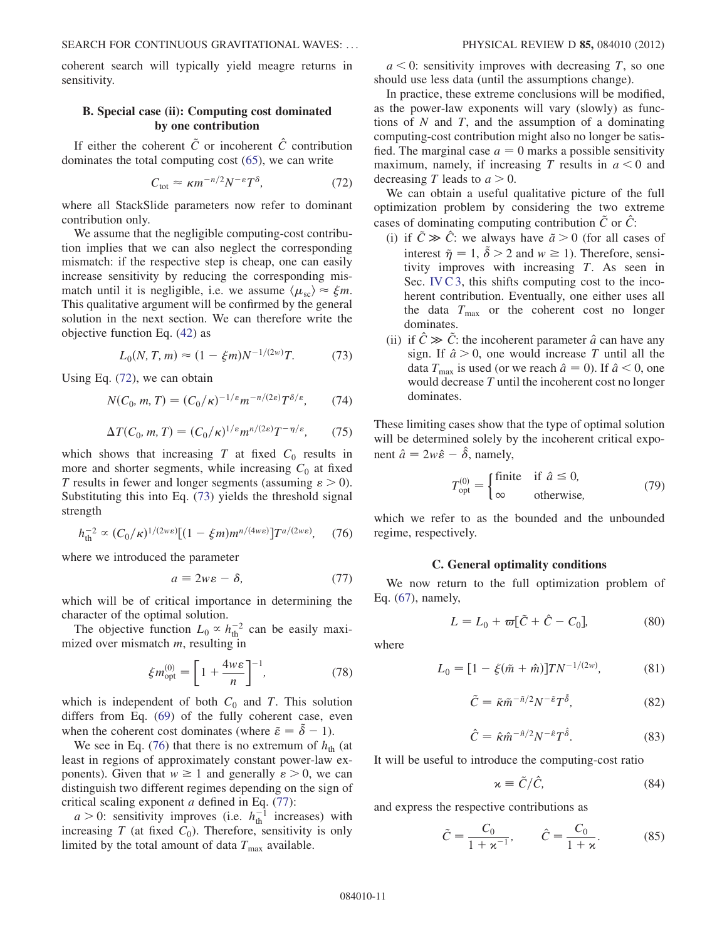coherent search will typically yield meagre returns in sensitivity.

# <span id="page-10-6"></span>B. Special case (ii): Computing cost dominated by one contribution

<span id="page-10-0"></span>If either the coherent  $\tilde{C}$  or incoherent  $\hat{C}$  contribution dominates the total computing cost [\(65](#page-9-3)), we can write

$$
C_{\text{tot}} \approx \kappa m^{-n/2} N^{-\varepsilon} T^{\delta},\tag{72}
$$

where all StackSlide parameters now refer to dominant contribution only.

We assume that the negligible computing-cost contribution implies that we can also neglect the corresponding mismatch: if the respective step is cheap, one can easily increase sensitivity by reducing the corresponding mismatch until it is negligible, i.e. we assume  $\langle \mu_{sc} \rangle \approx \xi m$ . This qualitative argument will be confirmed by the general solution in the next section. We can therefore write the objective function Eq. ([42](#page-6-5)) as

$$
L_0(N, T, m) \approx (1 - \xi m) N^{-1/(2w)} T.
$$
 (73)

<span id="page-10-1"></span>Using Eq. ([72](#page-10-0)), we can obtain

$$
N(C_0, m, T) = (C_0/\kappa)^{-1/\varepsilon} m^{-n/(2\varepsilon)} T^{\delta/\varepsilon}, \qquad (74)
$$

$$
\Delta T(C_0, m, T) = (C_0/\kappa)^{1/\varepsilon} m^{n/(2\varepsilon)} T^{-\eta/\varepsilon}, \qquad (75)
$$

which shows that increasing T at fixed  $C_0$  results in more and shorter segments, while increasing  $C_0$  at fixed T results in fewer and longer segments (assuming  $\varepsilon > 0$ ). Substituting this into Eq. ([73\)](#page-10-1) yields the threshold signal strength

<span id="page-10-2"></span>
$$
h_{\rm th}^{-2} \propto (C_0/\kappa)^{1/(2w\varepsilon)} [(1 - \xi m) m^{n/(4w\varepsilon)}] T^{a/(2w\varepsilon)}, \quad (76)
$$

<span id="page-10-3"></span>where we introduced the parameter

$$
a \equiv 2w\varepsilon - \delta,\tag{77}
$$

which will be of critical importance in determining the character of the optimal solution.

<span id="page-10-8"></span>The objective function  $L_0 \propto h_{\text{th}}^{-2}$  can be easily maxi-<br>zed over mismatch m resulting in mized over mismatch  $m$ , resulting in

$$
\xi m_{\text{opt}}^{(0)} = \left[1 + \frac{4w\varepsilon}{n}\right]^{-1},\tag{78}
$$

which is independent of both  $C_0$  and T. This solution differs from Eq. [\(69\)](#page-9-4) of the fully coherent case, even when the coherent cost dominates (where  $\tilde{\varepsilon} = \tilde{\delta} - 1$ ).

We see in Eq. ([76](#page-10-2)) that there is no extremum of  $h_{\text{th}}$  (at least in regions of approximately constant power-law exponents). Given that  $w \ge 1$  and generally  $\varepsilon > 0$ , we can distinguish two different regimes depending on the sign of critical scaling exponent  $a$  defined in Eq.  $(77)$  $(77)$ :

 $a > 0$ : sensitivity improves (i.e.  $h_{\text{th}}^{-1}$  increases) with increasing T (at fixed  $C_0$ ). Therefore, sensitivity is only limited by the total amount of data  $T_{\text{max}}$  available.

 $a < 0$ : sensitivity improves with decreasing T, so one should use less data (until the assumptions change).

In practice, these extreme conclusions will be modified, as the power-law exponents will vary (slowly) as functions of  $N$  and  $T$ , and the assumption of a dominating computing-cost contribution might also no longer be satisfied. The marginal case  $a = 0$  marks a possible sensitivity maximum, namely, if increasing T results in  $a < 0$  and decreasing T leads to  $a > 0$ .

We can obtain a useful qualitative picture of the full optimization problem by considering the two extreme cases of dominating computing contribution  $\tilde{C}$  or  $\hat{C}$ :

- (i) if  $\tilde{C} \gg \hat{C}$ : we always have  $\tilde{a} > 0$  (for all cases of interest  $\tilde{p} = 1$ ,  $\tilde{\delta} > 2$  and  $w > 1$ ). Therefore, sensiinterest  $\tilde{\eta} = 1$ ,  $\tilde{\delta} > 2$  and  $w \ge 1$ ). Therefore, sensitivity improves with increasing T. As seen in Sec. [IV C 3,](#page-11-0) this shifts computing cost to the incoherent contribution. Eventually, one either uses all the data  $T_{\text{max}}$  or the coherent cost no longer dominates.
- (ii) if  $\hat{C} \gg \tilde{C}$ : the incoherent parameter  $\hat{a}$  can have any sign If  $\hat{a} > 0$  one would increase T until all the sign. If  $\hat{a} > 0$ , one would increase T until all the data  $T_{\text{max}}$  is used (or we reach  $\hat{a} = 0$ ). If  $\hat{a} < 0$ , one would decrease T until the incoherent cost no longer dominates.

These limiting cases show that the type of optimal solution will be determined solely by the incoherent critical exponent  $\hat{a} = 2w\hat{\epsilon} - \hat{\delta}$ , namely,

$$
T_{\text{opt}}^{(0)} = \begin{cases} \text{finite} & \text{if } \hat{a} \le 0, \\ \infty & \text{otherwise,} \end{cases} \tag{79}
$$

which we refer to as the bounded and the unbounded regime, respectively.

#### C. General optimality conditions

We now return to the full optimization problem of Eq. ([67](#page-9-2)), namely,

$$
L = L_0 + \varpi [\tilde{C} + \hat{C} - C_0], \tag{80}
$$

<span id="page-10-5"></span><span id="page-10-4"></span>where

$$
L_0 = [1 - \xi(\tilde{m} + \hat{m})]TN^{-1/(2w)},
$$
 (81)

$$
\tilde{C} = \tilde{\kappa} \tilde{m}^{-\tilde{n}/2} N^{-\tilde{\varepsilon}} T^{\tilde{\delta}}, \tag{82}
$$

$$
\hat{C} = \hat{\kappa}\hat{m}^{-\hat{n}/2}N^{-\hat{\varepsilon}}T^{\hat{\delta}}.
$$
 (83)

<span id="page-10-7"></span>It will be useful to introduce the computing-cost ratio

$$
\alpha \equiv \tilde{C}/\hat{C},\tag{84}
$$

and express the respective contributions as

$$
\tilde{C} = \frac{C_0}{1 + \varkappa^{-1}}, \qquad \hat{C} = \frac{C_0}{1 + \varkappa}.
$$
\n(85)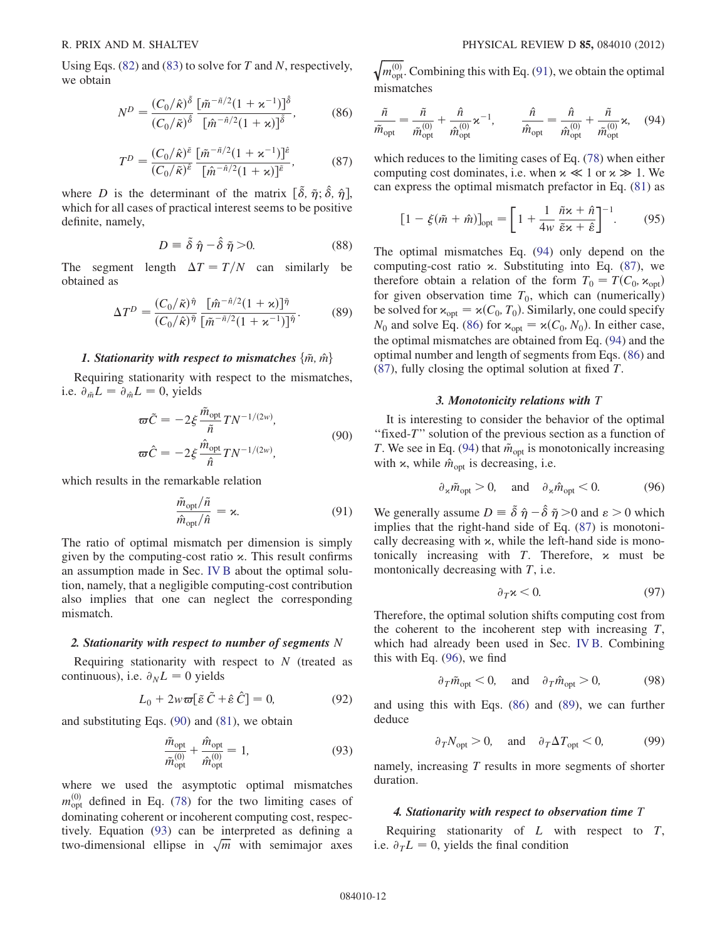<span id="page-11-5"></span>Using Eqs. [\(82\)](#page-10-4) and [\(83\)](#page-10-5) to solve for  $T$  and  $N$ , respectively, we obtain

$$
N^{D} = \frac{(C_{0}/\hat{\kappa})^{\tilde{\delta}}}{(C_{0}/\tilde{\kappa})^{\tilde{\delta}}} \frac{[\tilde{m}^{-\tilde{n}/2}(1 + \kappa^{-1})]^{\hat{\delta}}}{[\hat{m}^{-\hat{n}/2}(1 + \kappa)]^{\tilde{\delta}}},
$$
(86)

$$
T^{D} = \frac{(C_{0}/\hat{\kappa})^{\tilde{\varepsilon}}}{(C_{0}/\tilde{\kappa})^{\tilde{\varepsilon}}} \frac{[\tilde{m}^{-\tilde{n}/2}(1 + \varkappa^{-1})]^{\hat{\varepsilon}}}{[\hat{m}^{-\hat{n}/2}(1 + \varkappa)]^{\tilde{\varepsilon}}},
$$
(87)

<span id="page-11-6"></span>where D is the determinant of the matrix  $\left[\delta, \tilde{\eta}; \hat{\delta}, \hat{\eta}\right]$ , which for all cases of practical interest seems to be positive definite, namely,

$$
D \equiv \tilde{\delta} \ \hat{\eta} - \hat{\delta} \ \tilde{\eta} > 0. \tag{88}
$$

<span id="page-11-8"></span>The segment length  $\Delta T = T/N$  can similarly be obtained as

$$
\Delta T^{D} = \frac{(C_0/\tilde{\kappa})^{\tilde{\eta}}}{(C_0/\hat{\kappa})^{\tilde{\eta}}} \frac{[\hat{m}^{-\tilde{n}/2}(1+\kappa)]^{\tilde{\eta}}}{[\tilde{m}^{-\tilde{n}/2}(1+\kappa^{-1})]^{\tilde{\eta}}}.
$$
(89)

### 1. Stationarity with respect to mismatches  $\{\tilde{m}, \tilde{m}\}$

<span id="page-11-1"></span>Requiring stationarity with respect to the mismatches, i.e.  $\partial_{\tilde{m}}L = \partial_{\hat{m}}L = 0$ , yields

$$
\varpi \tilde{C} = -2\xi \frac{\tilde{m}_{\text{opt}}}{\tilde{n}} T N^{-1/(2w)},
$$
  
\n
$$
\varpi \hat{C} = -2\xi \frac{\hat{m}_{\text{opt}}}{\hat{n}} T N^{-1/(2w)},
$$
\n(90)

<span id="page-11-3"></span>which results in the remarkable relation

$$
\frac{\tilde{m}_{\text{opt}}/\tilde{n}}{\hat{m}_{\text{opt}}/\hat{n}} = \varkappa. \tag{91}
$$

The ratio of optimal mismatch per dimension is simply given by the computing-cost ratio  $\alpha$ . This result confirms an assumption made in Sec. [IV B](#page-10-6) about the optimal solution, namely, that a negligible computing-cost contribution also implies that one can neglect the corresponding mismatch.

#### <span id="page-11-10"></span>2. Stationarity with respect to number of segments  $N$

<span id="page-11-9"></span>Requiring stationarity with respect to  $N$  (treated as continuous), i.e.  $\partial_N L = 0$  yields

$$
L_0 + 2w\varpi[\tilde{\varepsilon}\,\tilde{C} + \hat{\varepsilon}\,\hat{C}] = 0,\tag{92}
$$

<span id="page-11-2"></span>and substituting Eqs. ([90](#page-11-1)) and [\(81\)](#page-10-7), we obtain

$$
\frac{\tilde{m}_{\text{opt}}}{\tilde{m}_{\text{opt}}^{(0)}} + \frac{\hat{m}_{\text{opt}}}{\hat{m}_{\text{opt}}^{(0)}} = 1, \tag{93}
$$

where we used the asymptotic optimal mismatches  $m_{\text{opt}}^{(0)}$  defined in Eq. [\(78\)](#page-10-8) for the two limiting cases of dominating coherent or incoherent computing cost, respectively. Equation ([93\)](#page-11-2) can be interpreted as defining a two-dimensional ellipse in  $\sqrt{m}$  with semimajor axes

 $\sqrt{m_{\rm opt}^{(0)}}$ . Combining this with Eq. ([91](#page-11-3)), we obtain the optimal mismatches

<span id="page-11-4"></span>
$$
\frac{\tilde{n}}{\tilde{m}_{\text{opt}}} = \frac{\tilde{n}}{\tilde{m}_{\text{opt}}^{(0)}} + \frac{\hat{n}}{\hat{m}_{\text{opt}}^{(0)}} \alpha^{-1}, \qquad \frac{\hat{n}}{\hat{m}_{\text{opt}}} = \frac{\hat{n}}{\hat{m}_{\text{opt}}^{(0)}} + \frac{\tilde{n}}{\tilde{m}_{\text{opt}}^{(0)}} \alpha, \quad (94)
$$

which reduces to the limiting cases of Eq. ([78](#page-10-8)) when either computing cost dominates, i.e. when  $\alpha \ll 1$  or  $\alpha \gg 1$ . We can express the optimal mismatch prefactor in Eq. (81) as can express the optimal mismatch prefactor in Eq. [\(81\)](#page-10-7) as

$$
\left[1 - \xi(\tilde{m} + \hat{m})\right]_{\text{opt}} = \left[1 + \frac{1}{4w} \frac{\tilde{n} \times \hat{n} + \hat{n}}{\tilde{\varepsilon} \times \hat{n} + \hat{\varepsilon}}\right]^{-1}.\tag{95}
$$

The optimal mismatches Eq. [\(94\)](#page-11-4) only depend on the computing-cost ratio  $x$ . Substituting into Eq. ([87](#page-11-5)), we therefore obtain a relation of the form  $T_0 = T(C_0, \mathbf{x}_{opt})$ for given observation time  $T_0$ , which can (numerically) be solved for  $x_{opt} = x(C_0, T_0)$ . Similarly, one could specify  $N_0$  and solve Eq. [\(86\)](#page-11-6) for  $\varkappa_{\text{opt}} = \varkappa(C_0, N_0)$ . In either case, the optimal mismatches are obtained from Eq. [\(94\)](#page-11-4) and the optimal number and length of segments from Eqs. ([86](#page-11-6)) and  $(87)$ , fully closing the optimal solution at fixed T.

#### 3. Monotonicity relations with T

<span id="page-11-7"></span><span id="page-11-0"></span>It is interesting to consider the behavior of the optimal "fixed- $T$ " solution of the previous section as a function of T. We see in Eq. ([94\)](#page-11-4) that  $\tilde{m}_{opt}$  is monotonically increasing with  $x$ , while  $\hat{m}_{\text{ont}}$  is decreasing, i.e.

$$
\partial_{\varkappa} \tilde{m}_{\text{opt}} > 0, \quad \text{and} \quad \partial_{\varkappa} \hat{m}_{\text{opt}} < 0. \tag{96}
$$

We generally assume  $D = \tilde{\delta} \hat{\eta} - \hat{\delta} \tilde{\eta} > 0$  and  $\varepsilon > 0$  which implies that the right-hand side of Eq. ([87](#page-11-5)) is monotonically decreasing with  $x$ , while the left-hand side is monotonically increasing with  $T$ . Therefore,  $x$  must be montonically decreasing with  $T$ , i.e.

$$
\partial_T \kappa < 0. \tag{97}
$$

Therefore, the optimal solution shifts computing cost from the coherent to the incoherent step with increasing  $T$ , which had already been used in Sec. [IV B](#page-10-6). Combining this with Eq. ([96](#page-11-7)), we find

$$
\partial_T \tilde{m}_{\text{opt}} < 0, \quad \text{and} \quad \partial_T \hat{m}_{\text{opt}} > 0,\tag{98}
$$

and using this with Eqs. ([86](#page-11-6)) and ([89](#page-11-8)), we can further deduce

$$
\partial_T N_{\text{opt}} > 0, \quad \text{and} \quad \partial_T \Delta T_{\text{opt}} < 0, \tag{99}
$$

namely, increasing T results in more segments of shorter duration.

#### 4. Stationarity with respect to observation time T

Requiring stationarity of  $L$  with respect to  $T$ , i.e.  $\partial_T L = 0$ , yields the final condition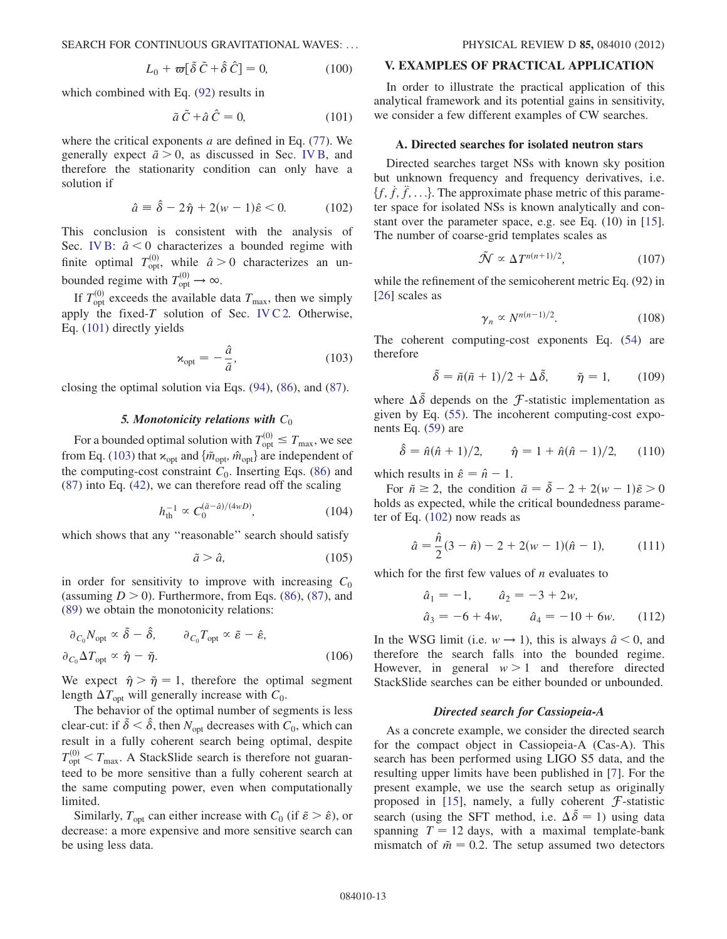$$
L_0 + \varpi [\tilde{\delta} \tilde{C} + \hat{\delta} \hat{C}] = 0, \qquad (100)
$$

<span id="page-12-1"></span>which combined with Eq. [\(92\)](#page-11-9) results in

$$
\tilde{a}\,\tilde{C} + \hat{a}\,\hat{C} = 0,\tag{101}
$$

<span id="page-12-3"></span>where the critical exponents  $a$  are defined in Eq. ([77](#page-10-3)). We generally expect  $\tilde{a} > 0$ , as discussed in Sec. [IV B](#page-10-6), and therefore the stationarity condition can only have a solution if

$$
\hat{a} \equiv \hat{\delta} - 2\hat{\eta} + 2(w - 1)\hat{\epsilon} < 0. \tag{102}
$$

This conclusion is consistent with the analysis of Sec. [IV B:](#page-10-6)  $\hat{a} < 0$  characterizes a bounded regime with finite optimal  $T_{\text{opt}}^{(0)}$ , while  $\hat{a} > 0$  characterizes an unbounded regime with  $T_{\text{opt}}^{(0)} \rightarrow \infty$ .

<span id="page-12-2"></span>If  $T_{\rm opt}^{(0)}$  exceeds the available data  $T_{\rm max}$ , then we simply apply the fixed- $T$  solution of Sec. [IV C 2.](#page-11-10) Otherwise, Eq. ([101](#page-12-1)) directly yields

$$
\mathbf{x}_{\text{opt}} = -\frac{\hat{a}}{\tilde{a}},\tag{103}
$$

closing the optimal solution via Eqs. [\(94\)](#page-11-4), ([86\)](#page-11-6), and ([87](#page-11-5)).

#### 5. Monotonicity relations with  $C_0$

<span id="page-12-5"></span>For a bounded optimal solution with  $T_{\text{opt}}^{(0)} \le T_{\text{max}}$ , we see<br>optimal solution with  $T_{\text{opt}}^{(0)}$  and  $T_{\text{max}}^{(0)}$  are independent of from Eq. ([103](#page-12-2)) that  $x_{opt}$  and  $\{\tilde{m}_{opt}, \tilde{m}_{opt}\}$  are independent of the computing-cost constraint  $C_0$ . Inserting Eqs. ([86](#page-11-6)) and [\(87\)](#page-11-5) into Eq. ([42](#page-6-5)), we can therefore read off the scaling

$$
h_{\rm th}^{-1} \propto C_0^{(\tilde{a} - \hat{a})/(4wD)},\tag{104}
$$

which shows that any "reasonable" search should satisfy

$$
\tilde{a} > \hat{a},\tag{105}
$$

in order for sensitivity to improve with increasing  $C_0$ (assuming  $D > 0$ ). Furthermore, from Eqs. [\(86\)](#page-11-6), [\(87\)](#page-11-5), and [\(89\)](#page-11-8) we obtain the monotonicity relations:

$$
\partial_{C_0} N_{\text{opt}} \propto \tilde{\delta} - \hat{\delta}, \qquad \partial_{C_0} T_{\text{opt}} \propto \tilde{\epsilon} - \hat{\epsilon},
$$
  

$$
\partial_{C_0} \Delta T_{\text{opt}} \propto \hat{\eta} - \tilde{\eta}.
$$
 (106)

We expect  $\hat{\eta} > \tilde{\eta} = 1$ , therefore the optimal segment length  $\Delta T_{\text{opt}}$  will generally increase with  $C_0$ .

The behavior of the optimal number of segments is less clear-cut: if  $\tilde{\delta} < \hat{\delta}$ , then  $N_{opt}$  decreases with  $C_0$ , which can result in a fully coherent search being optimal, despite  $T_{\text{opt}}^{(0)} < T_{\text{max}}$ . A StackSlide search is therefore not guaranteed to be more sensitive than a fully coherent search at the same computing power, even when computationally limited.

Similarly,  $T_{opt}$  can either increase with  $C_0$  (if  $\tilde{\varepsilon} > \hat{\varepsilon}$ ), or decrease: a more expensive and more sensitive search can be using less data.

# <span id="page-12-0"></span>V. EXAMPLES OF PRACTICAL APPLICATION

In order to illustrate the practical application of this analytical framework and its potential gains in sensitivity, we consider a few different examples of CW searches.

# <span id="page-12-6"></span>A. Directed searches for isolated neutron stars

Directed searches target NSs with known sky position but unknown frequency and frequency derivatives, i.e.  $\{f, f, \ddot{f}, \ldots\}$ . The approximate phase metric of this parameter space for isolated NSs is known analytically and constant over the parameter space, e.g. see Eq. (10) in [[15\]](#page-17-34). The number of coarse-grid templates scales as

$$
\tilde{\mathcal{N}} \propto \Delta T^{n(n+1)/2},\tag{107}
$$

while the refinement of the semicoherent metric Eq. (92) in [\[26\]](#page-17-21) scales as

$$
\gamma_n \propto N^{n(n-1)/2}.\tag{108}
$$

<span id="page-12-4"></span>The coherent computing-cost exponents Eq. ([54\)](#page-8-4) are therefore

$$
\tilde{\delta} = \tilde{n}(\tilde{n} + 1)/2 + \Delta \tilde{\delta}, \qquad \tilde{\eta} = 1, \qquad (109)
$$

where  $\Delta \tilde{\delta}$  depends on the *F*-statistic implementation as given by Eq. [\(55\)](#page-8-5). The incoherent computing-cost exponents Eq. ([59](#page-8-6)) are

$$
\hat{\delta} = \hat{n}(\hat{n} + 1)/2, \qquad \hat{\eta} = 1 + \hat{n}(\hat{n} - 1)/2, \qquad (110)
$$

which results in  $\hat{\varepsilon} = \hat{n} - 1$ .

For  $\tilde{n} \ge 2$ , the condition  $\tilde{a} = \tilde{\delta} - 2 + 2(w - 1)\tilde{\epsilon} > 0$ holds as expected, while the critical boundedness parameter of Eq. ([102](#page-12-3)) now reads as

$$
\hat{a} = \frac{\hat{n}}{2}(3 - \hat{n}) - 2 + 2(w - 1)(\hat{n} - 1), \quad (111)
$$

which for the first few values of  $n$  evaluates to

$$
\hat{a}_1 = -1,
$$
  $\hat{a}_2 = -3 + 2w,$   
\n $\hat{a}_3 = -6 + 4w,$   $\hat{a}_4 = -10 + 6w.$  (112)

In the WSG limit (i.e.  $w \rightarrow 1$ ), this is always  $\hat{a} < 0$ , and therefore the search falls into the bounded regime. However, in general  $w > 1$  and therefore directed StackSlide searches can be either bounded or unbounded.

#### Directed search for Cassiopeia-A

As a concrete example, we consider the directed search for the compact object in Cassiopeia-A (Cas-A). This search has been performed using LIGO S5 data, and the resulting upper limits have been published in [[7\]](#page-17-4). For the present example, we use the search setup as originally proposed in [\[15\]](#page-17-34), namely, a fully coherent  $\mathcal F$ -statistic search (using the SFT method, i.e.  $\Delta \tilde{\delta} = 1$ ) using data spanning  $T = 12$  days, with a maximal template-bank mismatch of  $\tilde{m} = 0.2$ . The setup assumed two detectors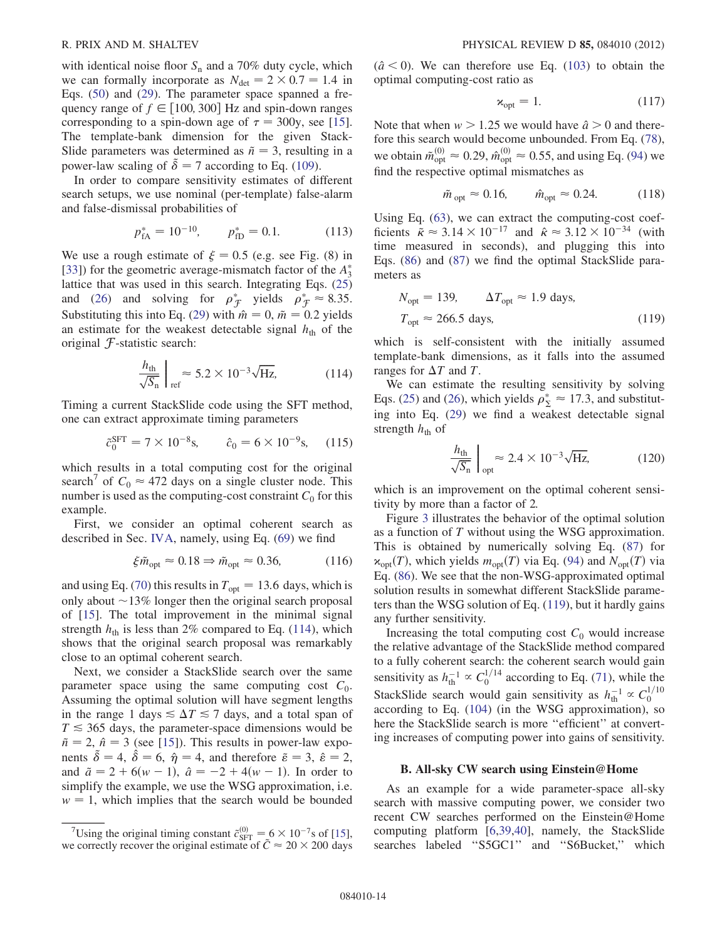with identical noise floor  $S_n$  and a 70% duty cycle, which we can formally incorporate as  $N_{\text{det}} = 2 \times 0.7 = 1.4$  in Eqs. ([50](#page-8-7)) and [\(29\)](#page-5-7). The parameter space spanned a frequency range of  $f \in [100, 300]$  Hz and spin-down ranges corresponding to a spin-down age of  $\tau = 300y$ , see [\[15\]](#page-17-34). The template-bank dimension for the given Stack-Slide parameters was determined as  $\tilde{n} = 3$ , resulting in a power-law scaling of  $\tilde{\delta} = 7$  according to Eq. [\(109\)](#page-12-4).

In order to compare sensitivity estimates of different search setups, we use nominal (per-template) false-alarm and false-dismissal probabilities of

$$
p_{\text{fA}}^* = 10^{-10}, \qquad p_{\text{fD}}^* = 0.1. \tag{113}
$$

We use a rough estimate of  $\xi = 0.5$  (e.g. see Fig. (8) in [\[33\]](#page-17-28)) for the geometric average-mismatch factor of the  $A_3^*$ lattice that was used in this search. Integrating Eqs. [\(25\)](#page-5-0) and [\(26](#page-5-1)) and solving for  $\rho_{\mathcal{F}}^*$  yields  $\rho_{\mathcal{F}}^* \approx 8.35$ .<br>Substituting this into Eq. (20) with  $\hat{r}_0 = 0$ ,  $\tilde{r}_0 = 0.2$  yields Substituting this into Eq. ([29](#page-5-7)) with  $\hat{m} = 0$ ,  $\tilde{m} = 0.2$  yields an estimate for the weakest detectable signal  $h_{th}$  of the original  $\mathcal F$ -statistic search:

$$
\frac{h_{\text{th}}}{\sqrt{S_{\text{n}}}}\Big|_{\text{ref}} \approx 5.2 \times 10^{-3} \sqrt{\text{Hz}},\tag{114}
$$

<span id="page-13-3"></span><span id="page-13-0"></span>Timing a current StackSlide code using the SFT method, one can extract approximate timing parameters

$$
\tilde{c}_0^{\text{SFT}} = 7 \times 10^{-8} \text{s}, \qquad \hat{c}_0 = 6 \times 10^{-9} \text{s}, \qquad (115)
$$

which results in a total computing cost for the original search<sup>7</sup> of  $C_0 \approx 472$  days on a single cluster node. This number is used as the computing-cost constraint  $C_0$  for this example.

First, we consider an optimal coherent search as described in Sec. [IVA](#page-9-5), namely, using Eq. [\(69\)](#page-9-4) we find

$$
\xi \tilde{m}_{\text{opt}} \approx 0.18 \Rightarrow \tilde{m}_{\text{opt}} \approx 0.36,\tag{116}
$$

and using Eq. ([70](#page-9-6)) this results in  $T_{\text{opt}} = 13.6$  days, which is only about  $\sim$ 13% longer then the original search proposal of [[15](#page-17-34)]. The total improvement in the minimal signal strength  $h_{th}$  is less than 2% compared to Eq. ([114](#page-13-0)), which shows that the original search proposal was remarkably close to an optimal coherent search.

Next, we consider a StackSlide search over the same parameter space using the same computing cost  $C_0$ . Assuming the optimal solution will have segment lengths in the range 1 days  $\leq \Delta T \leq 7$  days, and a total span of  $T \leq 365$  days, the parameter-space dimensions would be  $\tilde{n} = 2$ ,  $\hat{n} = 3$  (see [[15](#page-17-34)]). This results in power-law exponents  $\delta = 4$ ,  $\delta = 6$ ,  $\hat{\eta} = 4$ , and therefore  $\tilde{\varepsilon} = 3$ ,  $\hat{\varepsilon} = 2$ , and  $\tilde{a} = 2 + 6(w - 1), \hat{a} = -2 + 4(w - 1)$ . In order to simplify the example, we use the WSG approximation, i.e.  $w = 1$ , which implies that the search would be bounded  $(\hat{a} < 0)$ . We can therefore use Eq. [\(103\)](#page-12-2) to obtain the optimal computing-cost ratio as

$$
\mathbf{x}_{\text{opt}} = 1. \tag{117}
$$

Note that when  $w > 1.25$  we would have  $\hat{a} > 0$  and therefore this search would become unbounded. From Eq. ([78\)](#page-10-8), we obtain  $\tilde{m}_{\text{opt}}^{(0)} \approx 0.29$ ,  $\hat{m}_{\text{opt}}^{(0)} \approx 0.55$ , and using Eq. ([94](#page-11-4)) we find the respective optimal mismatches as find the respective optimal mismatches as

$$
\tilde{m}_{\text{opt}} \approx 0.16, \qquad \hat{m}_{\text{opt}} \approx 0.24. \tag{118}
$$

<span id="page-13-2"></span>Using Eq. [\(63\)](#page-8-8), we can extract the computing-cost coefficients  $\tilde{\kappa} \approx 3.14 \times 10^{-17}$  and  $\hat{\kappa} \approx 3.12 \times 10^{-34}$  (with time measured in seconds), and plugging this into Eqs. ([86](#page-11-6)) and ([87](#page-11-5)) we find the optimal StackSlide parameters as

<span id="page-13-1"></span>
$$
N_{\text{opt}} = 139, \qquad \Delta T_{\text{opt}} \approx 1.9 \text{ days},
$$
  
\n
$$
T_{\text{opt}} \approx 266.5 \text{ days}, \qquad (119)
$$

which is self-consistent with the initially assumed template-bank dimensions, as it falls into the assumed ranges for  $\Delta T$  and T.

We can estimate the resulting sensitivity by solving Eqs. [\(25\)](#page-5-0) and [\(26\)](#page-5-1), which yields  $\rho_{\Sigma}^* \approx 17.3$ , and substitut-<br>ing into Eq. (20) we find a weakest detectable signal ing into Eq. ([29](#page-5-7)) we find a weakest detectable signal strength  $h_{\text{th}}$  of

$$
\frac{h_{\text{th}}}{\sqrt{S_{\text{n}}}}\bigg|_{\text{opt}} \approx 2.4 \times 10^{-3} \sqrt{\text{Hz}},\tag{120}
$$

which is an improvement on the optimal coherent sensitivity by more than a factor of 2.

Figure [3](#page-14-0) illustrates the behavior of the optimal solution as a function of T without using the WSG approximation. This is obtained by numerically solving Eq. ([87](#page-11-5)) for  $\kappa_{\text{opt}}(T)$ , which yields  $m_{\text{opt}}(T)$  via Eq. ([94](#page-11-4)) and  $N_{\text{opt}}(T)$  via Eq. [\(86\)](#page-11-6). We see that the non-WSG-approximated optimal solution results in somewhat different StackSlide parameters than the WSG solution of Eq. ([119\)](#page-13-1), but it hardly gains any further sensitivity.

Increasing the total computing cost  $C_0$  would increase the relative advantage of the StackSlide method compared to a fully coherent search: the coherent search would gain sensitivity as  $h_{\text{th}}^{-1} \propto C_0^{1/14}$  according to Eq. ([71](#page-9-7)), while the<br>Staat-Slide according valid exist associativity as  $h^{-1} \propto C_0^{1/10}$ StackSlide search would gain sensitivity as  $h_{\text{th}}^{-1} \propto C_0^{1/10}$ <br>according to Eq. (104) (in the WSG approximation) so according to Eq. [\(104\)](#page-12-5) (in the WSG approximation), so here the StackSlide search is more "efficient" at converting increases of computing power into gains of sensitivity.

#### B. All-sky CW search using Einstein@Home

As an example for a wide parameter-space all-sky search with massive computing power, we consider two recent CW searches performed on the Einstein@Home computing platform [\[6](#page-17-35)[,39](#page-17-36)[,40\]](#page-17-37), namely, the StackSlide searches labeled "S5GC1" and "S6Bucket," which

Using the original timing constant  $\tilde{c}_{\text{SFT}}^{(0)} = 6 \times 10^{-7}$  s of [\[15\]](#page-17-34),<br>a correctly recover the original estimate of  $\tilde{C} \approx 20 \times 200$  days we correctly recover the original estimate of  $\tilde{C} \approx 20 \times 200$  days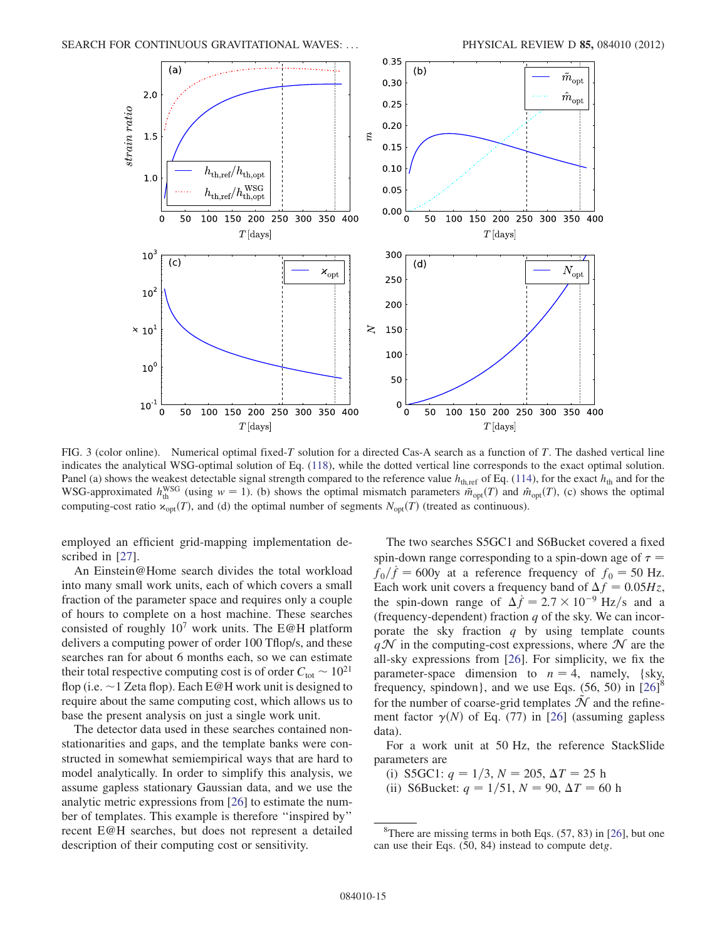<span id="page-14-0"></span>

FIG. 3 (color online). Numerical optimal fixed-T solution for a directed Cas-A search as a function of T. The dashed vertical line indicates the analytical WSG-optimal solution of Eq. [\(118\)](#page-13-2), while the dotted vertical line corresponds to the exact optimal solution. Panel (a) shows the weakest detectable signal strength compared to the reference value  $h_{\text{th,ref}}$  of Eq. [\(114](#page-13-0)), for the exact  $h_{\text{th}}$  and for the WSG-approximated  $h_{\text{th}}^{\text{WSG}}$  (using  $w = 1$ ). (b) shows the optimal mismatch parameters  $\tilde{m}_{\text{opt}}(T)$  and  $\hat{m}_{\text{opt}}(T)$ , (c) shows the optimal computing cost ratio  $\alpha$ . (T) and (d) the optimal number of segments computing-cost ratio  $x_{opt}(T)$ , and (d) the optimal number of segments  $N_{opt}(T)$  (treated as continuous).

employed an efficient grid-mapping implementation described in [\[27\]](#page-17-22).

An Einstein@Home search divides the total workload into many small work units, each of which covers a small fraction of the parameter space and requires only a couple of hours to complete on a host machine. These searches consisted of roughly  $10^7$  work units. The E@H platform delivers a computing power of order 100 Tflop/s, and these searches ran for about 6 months each, so we can estimate their total respective computing cost is of order  $C_{\text{tot}} \sim 10^{21}$ flop (i.e.  $\sim$  1 Zeta flop). Each E@H work unit is designed to require about the same computing cost, which allows us to base the present analysis on just a single work unit.

The detector data used in these searches contained nonstationarities and gaps, and the template banks were constructed in somewhat semiempirical ways that are hard to model analytically. In order to simplify this analysis, we assume gapless stationary Gaussian data, and we use the analytic metric expressions from [[26](#page-17-21)] to estimate the number of templates. This example is therefore ''inspired by'' recent E@H searches, but does not represent a detailed description of their computing cost or sensitivity.

The two searches S5GC1 and S6Bucket covered a fixed spin-down range corresponding to a spin-down age of  $\tau =$  $f_0/\dot{f} = 600y$  at a reference frequency of  $f_0 = 50$  Hz. Each work unit covers a frequency band of  $\Delta f = 0.05Hz$ , the spin-down range of  $\Delta \dot{f} = 2.7 \times 10^{-9}$  Hz/s and a (frequency-dependent) fraction  $q$  of the sky. We can incorporate the sky fraction  $q$  by using template counts  $q\mathcal{N}$  in the computing-cost expressions, where  $\mathcal N$  are the all-sky expressions from [\[26\]](#page-17-21). For simplicity, we fix the parameter-space dimension to  $n = 4$ , namely, {sky, frequency, spindown}, and we use Eqs.  $(56, 50)$  in  $[26]$ <sup>8</sup> for the number of coarse-grid templates  $\mathcal N$  and the refinement factor  $\gamma(N)$  of Eq. (77) in [[26](#page-17-21)] (assuming gapless data).

For a work unit at 50 Hz, the reference StackSlide parameters are

(i) S5GC1:  $q = 1/3$ ,  $N = 205$ ,  $\Delta T = 25$  h

(ii) S6Bucket:  $q = 1/51$ ,  $N = 90$ ,  $\Delta T = 60$  h

 ${}^{8}$ There are missing terms in both Eqs. (57, 83) in [\[26\]](#page-17-21), but one can use their Eqs. (50, 84) instead to compute detg.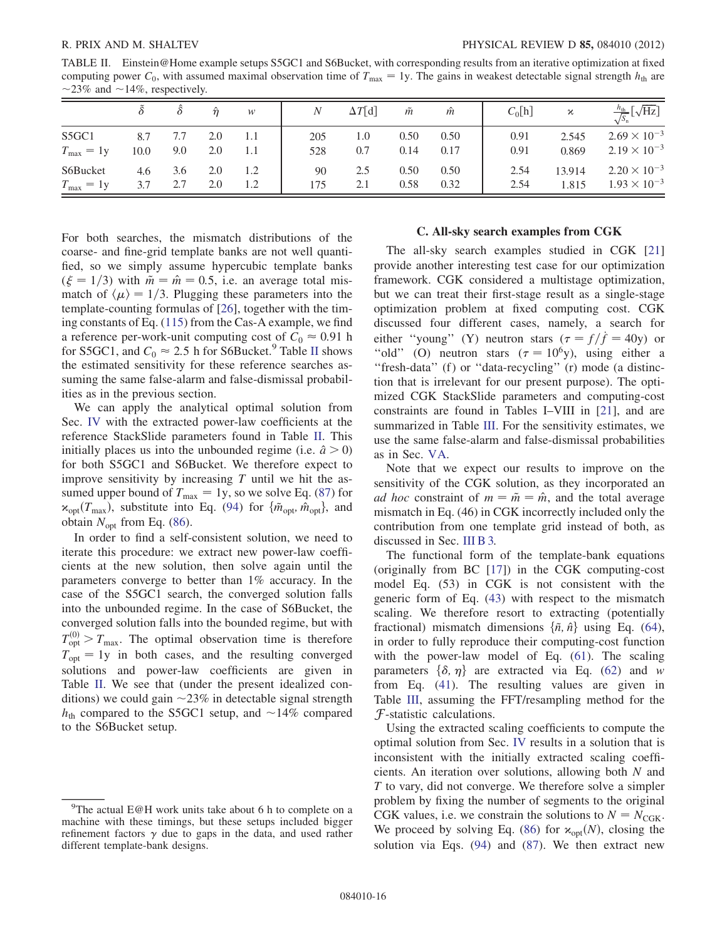<span id="page-15-1"></span>TABLE II. Einstein@Home example setups S5GC1 and S6Bucket, with corresponding results from an iterative optimization at fixed computing power C<sub>0</sub>, with assumed maximal observation time of  $T_{\text{max}} = 1y$ . The gains in weakest detectable signal strength  $h_{\text{th}}$  are  $\sim$ 23% and  $\sim$ 14%, respectively.

|                        |      |     | $\hat{n}$ | W   | N   | $\Delta T[d]$ | $\tilde{m}$ | m    | $C_0[h]$ | κ      | $\frac{h_{\text{th}}}{\sqrt{S}}\left[\sqrt{Hz}\right]$ |
|------------------------|------|-----|-----------|-----|-----|---------------|-------------|------|----------|--------|--------------------------------------------------------|
| S5GC1                  | 8.7  | 7.7 | 2.0       | 1.1 | 205 | 1.0           | 0.50        | 0.50 | 0.91     | 2.545  | $2.69 \times 10^{-3}$                                  |
| $T_{\text{max}} = 1$ y | 10.0 | 9.0 | 2.0       | 1.1 | 528 | 0.7           | 0.14        | 0.17 | 0.91     | 0.869  | $2.19 \times 10^{-3}$                                  |
| S6Bucket               | 4.6  | 3.6 | 2.0       | 1.2 | 90  | 2.5           | 0.50        | 0.50 | 2.54     | 13.914 | $2.20 \times 10^{-3}$                                  |
| $T_{\text{max}} = 1$ y | 3.7  | 2.7 | 2.0       | 1.2 | 175 | 2.1           | 0.58        | 0.32 | 2.54     | 1.815  | $1.93 \times 10^{-3}$                                  |

For both searches, the mismatch distributions of the coarse- and fine-grid template banks are not well quantified, so we simply assume hypercubic template banks  $({\xi} = 1/3)$  with  $\tilde{m} = \hat{m} = 0.5$ , i.e. an average total mismatch of  $\langle \mu \rangle = 1/3$ . Plugging these parameters into the template-counting formulas of [\[26](#page-17-21)], together with the timing constants of Eq. [\(115\)](#page-13-3) from the Cas-A example, we find a reference per-work-unit computing cost of  $C_0 \approx 0.91$  h for S5GC1, and  $C_0 \approx 2.5$  h for S6Bucket.<sup>9</sup> Table [II](#page-15-1) shows the estimated sensitivity for these reference searches assuming the same false-alarm and false-dismissal probabilities as in the previous section.

We can apply the analytical optimal solution from Sec. [IV](#page-9-0) with the extracted power-law coefficients at the reference StackSlide parameters found in Table [II](#page-15-1). This initially places us into the unbounded regime (i.e.  $\hat{a} > 0$ ) for both S5GC1 and S6Bucket. We therefore expect to improve sensitivity by increasing  $T$  until we hit the assumed upper bound of  $T_{\text{max}} = 1y$ , so we solve Eq. [\(87\)](#page-11-5) for  $\kappa_{opt}(T_{\text{max}})$ , substitute into Eq. ([94](#page-11-4)) for  $\{\tilde{m}_{\text{opt}}, \hat{m}_{\text{opt}}\}$ , and obtain  $N_{\text{opt}}$  from Eq. ([86](#page-11-6)).

In order to find a self-consistent solution, we need to iterate this procedure: we extract new power-law coefficients at the new solution, then solve again until the parameters converge to better than 1% accuracy. In the case of the S5GC1 search, the converged solution falls into the unbounded regime. In the case of S6Bucket, the converged solution falls into the bounded regime, but with  $T_{\text{opt}}^{(0)} > T_{\text{max}}$ . The optimal observation time is therefore  $T_{\text{opt}} = 1$ y in both cases, and the resulting converged solutions and power-law coefficients are given in Table [II.](#page-15-1) We see that (under the present idealized conditions) we could gain  $\sim$ 23% in detectable signal strength  $h_{\text{th}}$  compared to the S5GC1 setup, and  $\sim$ 14% compared to the S6Bucket setup.

### C. All-sky search examples from CGK

<span id="page-15-0"></span>The all-sky search examples studied in CGK [\[21\]](#page-17-16) provide another interesting test case for our optimization framework. CGK considered a multistage optimization, but we can treat their first-stage result as a single-stage optimization problem at fixed computing cost. CGK discussed four different cases, namely, a search for either "young" (Y) neutron stars  $(\tau = f/\dot{f} = 40y)$  or "old" (O) neutron stars  $(\tau = 10^6 y)$ , using either a "fresh-data" (f) or "data-recycling" (r) mode (a distinction that is irrelevant for our present purpose). The optimized CGK StackSlide parameters and computing-cost constraints are found in Tables I–VIII in [[21](#page-17-16)], and are summarized in Table [III.](#page-16-0) For the sensitivity estimates, we use the same false-alarm and false-dismissal probabilities as in Sec. [VA](#page-12-6).

Note that we expect our results to improve on the sensitivity of the CGK solution, as they incorporated an ad hoc constraint of  $m = \tilde{m} = \hat{m}$ , and the total average mismatch in Eq. (46) in CGK incorrectly included only the contribution from one template grid instead of both, as discussed in Sec. [III B 3.](#page-4-6)

The functional form of the template-bank equations (originally from BC [\[17](#page-17-12)]) in the CGK computing-cost model Eq. (53) in CGK is not consistent with the generic form of Eq. ([43](#page-7-1)) with respect to the mismatch scaling. We therefore resort to extracting (potentially fractional) mismatch dimensions  $\{\tilde{n}, \hat{n}\}$  using Eq. ([64\)](#page-9-8), in order to fully reproduce their computing-cost function with the power-law model of Eq. ([61](#page-8-3)). The scaling parameters  $\{\delta, \eta\}$  are extracted via Eq. [\(62\)](#page-8-0) and w from Eq. ([41](#page-6-6)). The resulting values are given in Table [III](#page-16-0), assuming the FFT/resampling method for the  $\mathcal F$ -statistic calculations.

Using the extracted scaling coefficients to compute the optimal solution from Sec. [IV](#page-9-0) results in a solution that is inconsistent with the initially extracted scaling coefficients. An iteration over solutions, allowing both N and T to vary, did not converge. We therefore solve a simpler problem by fixing the number of segments to the original CGK values, i.e. we constrain the solutions to  $N = N_{\text{CGK}}$ . We proceed by solving Eq. [\(86\)](#page-11-6) for  $\mathsf{x}_{\text{opt}}(N)$ , closing the solution via Eqs. ([94](#page-11-4)) and ([87\)](#page-11-5). We then extract new

<sup>&</sup>lt;sup>9</sup>The actual E@H work units take about 6 h to complete on a machine with these timings, but these setups included bigger refinement factors  $\gamma$  due to gaps in the data, and used rather different template-bank designs.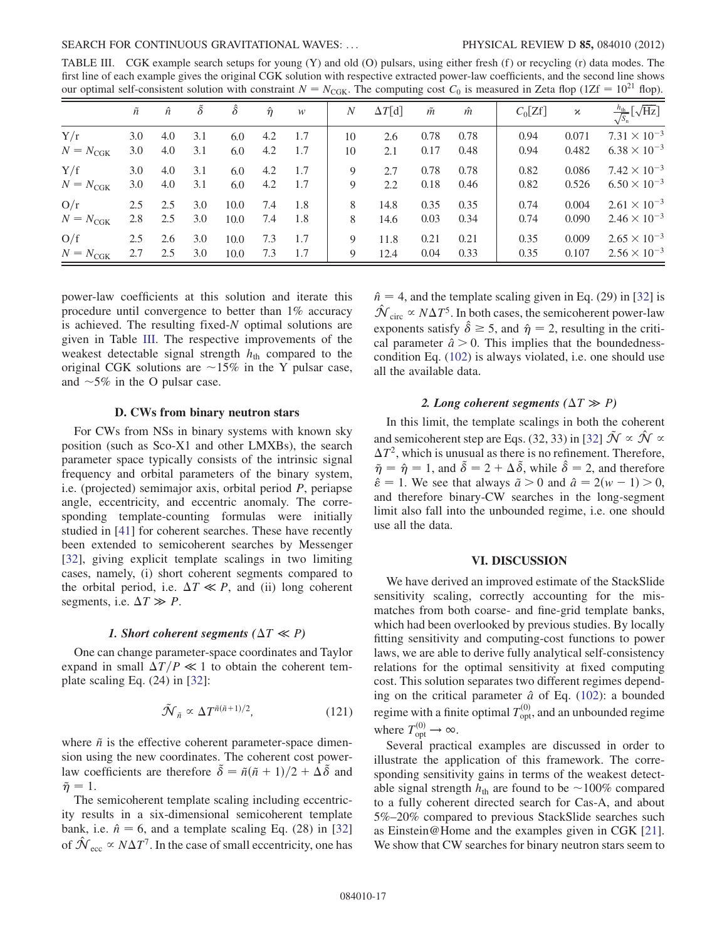<span id="page-16-0"></span>TABLE III. CGK example search setups for young  $(Y)$  and old  $(O)$  pulsars, using either fresh  $(f)$  or recycling  $(r)$  data modes. The first line of each example gives the original CGK solution with respective extracted power-law coefficients, and the second line shows our optimal self-consistent solution with constraint  $N = N_{\text{CGK}}$ . The computing cost  $C_0$  is measured in Zeta flop (1Zf = 10<sup>21</sup> flop).

|                      | $\tilde{n}$ | $\hat{n}$ | $\tilde{\delta}$ | $\hat{\delta}$ | $\hat{\eta}$ | W   | N  | $\Delta T[d]$ | $\tilde{m}$ | m    | $C_0[Zf]$ | κ     | $\frac{h_{\text{th}}}{\sqrt{S_{\text{n}}}}\left[\sqrt{Hz}\right]$ |
|----------------------|-------------|-----------|------------------|----------------|--------------|-----|----|---------------|-------------|------|-----------|-------|-------------------------------------------------------------------|
| Y/r                  | 3.0         | 4.0       | 3.1              | 6.0            | 4.2          | 1.7 | 10 | 2.6           | 0.78        | 0.78 | 0.94      | 0.071 | $7.31 \times 10^{-3}$                                             |
| $N = N_{\text{CGK}}$ | 3.0         | 4.0       | 3.1              | 6.0            | 4.2          | 1.7 | 10 | 2.1           | 0.17        | 0.48 | 0.94      | 0.482 | $6.38 \times 10^{-3}$                                             |
| Y/f                  | 3.0         | 4.0       | 3.1              | 6.0            | 4.2          | 1.7 | 9  | 2.7           | 0.78        | 0.78 | 0.82      | 0.086 | $7.42 \times 10^{-3}$                                             |
| $N = N_{\text{CGK}}$ | 3.0         | 4.0       | 3.1              | 6.0            | 4.2          | 1.7 | 9  | 2.2           | 0.18        | 0.46 | 0.82      | 0.526 | $6.50 \times 10^{-3}$                                             |
| O/r                  | 2.5         | 2.5       | 3.0              | 10.0           | 7.4          | 1.8 | 8  | 14.8          | 0.35        | 0.35 | 0.74      | 0.004 | $2.61 \times 10^{-3}$                                             |
| $N = N_{\text{CGK}}$ | 2.8         | 2.5       | 3.0              | 10.0           | 7.4          | 1.8 | 8  | 14.6          | 0.03        | 0.34 | 0.74      | 0.090 | $2.46 \times 10^{-3}$                                             |
| O/f                  | 2.5         | 2.6       | 3.0              | 10.0           | 7.3          | 1.7 | 9  | 11.8          | 0.21        | 0.21 | 0.35      | 0.009 | $2.65 \times 10^{-3}$                                             |
| $N = N_{\text{CGK}}$ | 2.7         | 2.5       | 3.0              | 10.0           | 7.3          | 1.7 | 9  | 12.4          | 0.04        | 0.33 | 0.35      | 0.107 | $2.56 \times 10^{-3}$                                             |

power-law coefficients at this solution and iterate this procedure until convergence to better than 1% accuracy is achieved. The resulting fixed-N optimal solutions are given in Table [III.](#page-16-0) The respective improvements of the weakest detectable signal strength  $h_{th}$  compared to the original CGK solutions are  $\sim$ 15% in the Y pulsar case, and  $\sim$ 5% in the O pulsar case.

#### D. CWs from binary neutron stars

For CWs from NSs in binary systems with known sky position (such as Sco-X1 and other LMXBs), the search parameter space typically consists of the intrinsic signal frequency and orbital parameters of the binary system, i.e. (projected) semimajor axis, orbital period P, periapse angle, eccentricity, and eccentric anomaly. The corresponding template-counting formulas were initially studied in [[41](#page-17-38)] for coherent searches. These have recently been extended to semicoherent searches by Messenger [\[32\]](#page-17-27), giving explicit template scalings in two limiting cases, namely, (i) short coherent segments compared to the orbital period, i.e.  $\Delta T \ll P$ , and (ii) long coherent segments, i.e.  $\Delta T \gg P$ .

#### 1. Short coherent segments ( $\Delta T \ll P$ )

One can change parameter-space coordinates and Taylor expand in small  $\Delta T/P \ll 1$  to obtain the coherent template scaling Eq. (24) in [[32](#page-17-27)]:

$$
\tilde{\mathcal{N}}_{\tilde{n}} \propto \Delta T^{\tilde{n}(\tilde{n}+1)/2},\tag{121}
$$

where  $\tilde{n}$  is the effective coherent parameter-space dimension using the new coordinates. The coherent cost powerlaw coefficients are therefore  $\tilde{\delta} = \tilde{n}(\tilde{n} + 1)/2 + \Delta \tilde{\delta}$  and  $\tilde{\eta} = 1.$ 

The semicoherent template scaling including eccentricity results in a six-dimensional semicoherent template bank, i.e.  $\hat{n} = 6$ , and a template scaling Eq. (28) in [\[32\]](#page-17-27) of  $\mathcal{\hat{N}}_{\text{ecc}} \propto N\Delta T^7$ . In the case of small eccentricity, one has  $\hat{n} = 4$ , and the template scaling given in Eq. (29) in [[32](#page-17-27)] is  $\mathcal{\hat{N}}_{\text{circ}} \propto N\Delta T^5$ . In both cases, the semicoherent power-law exponents satisfy  $\hat{\delta} \ge 5$ , and  $\hat{\eta} = 2$ , resulting in the critical parameter  $\hat{a} > 0$ . This implies that the boundednesscondition Eq. [\(102\)](#page-12-3) is always violated, i.e. one should use all the available data.

# 2. Long coherent segments  $(\Delta T \gg P)$

In this limit, the template scalings in both the coherent and semicoherent step are Eqs. (32, 33) in [\[32](#page-17-27)]  $\tilde{\mathcal{N}} \propto \hat{\mathcal{N}} \propto$  $\Delta T^2$ , which is unusual as there is no refinement. Therefore,  $\tilde{\eta} = \hat{\eta} = 1$ , and  $\tilde{\delta} = 2 + \Delta \tilde{\delta}$ , while  $\hat{\delta} = 2$ , and therefore  $\hat{\epsilon} = 1$ . We see that always  $\tilde{a} > 0$  and  $\hat{a} = 2(w - 1) > 0$ , and therefore binary-CW searches in the long-segment limit also fall into the unbounded regime, i.e. one should use all the data.

#### VI. DISCUSSION

We have derived an improved estimate of the StackSlide sensitivity scaling, correctly accounting for the mismatches from both coarse- and fine-grid template banks, which had been overlooked by previous studies. By locally fitting sensitivity and computing-cost functions to power laws, we are able to derive fully analytical self-consistency relations for the optimal sensitivity at fixed computing cost. This solution separates two different regimes depending on the critical parameter  $\hat{a}$  of Eq. ([102\)](#page-12-3): a bounded regime with a finite optimal  $T_{\rm opt}^{(0)}$ , and an unbounded regime where  $T_{\text{opt}}^{(0)} \rightarrow \infty$ .<br>Several practic

Several practical examples are discussed in order to illustrate the application of this framework. The corresponding sensitivity gains in terms of the weakest detectable signal strength  $h_{\text{th}}$  are found to be  $\sim$ 100% compared to a fully coherent directed search for Cas-A, and about 5%–20% compared to previous StackSlide searches such as Einstein@Home and the examples given in CGK [[21\]](#page-17-16). We show that CW searches for binary neutron stars seem to